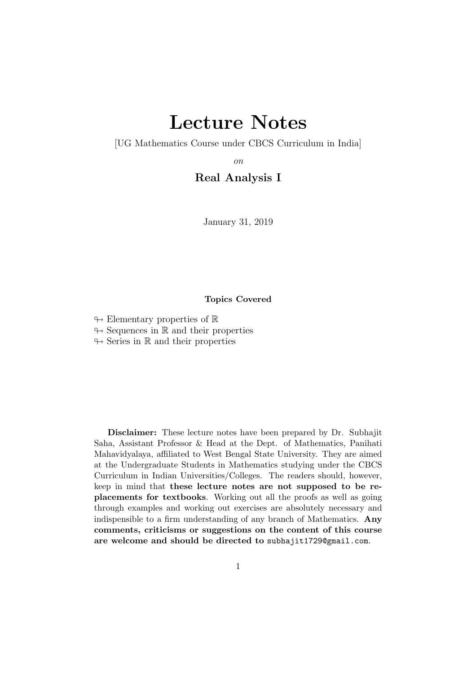# Lecture Notes

<span id="page-0-0"></span>[UG Mathematics Course under CBCS Curriculum in India]

on

## Real Analysis I

January 31, 2019

#### Topics Covered

- $\leftrightarrow$  Elementary properties of R
- $\rightarrow$  Sequences in R and their properties

 $\leftrightarrow$  Series in R and their properties

Disclaimer: These lecture notes have been prepared by Dr. Subhajit Saha, Assistant Professor & Head at the Dept. of Mathematics, Panihati Mahavidyalaya, affiliated to West Bengal State University. They are aimed at the Undergraduate Students in Mathematics studying under the CBCS Curriculum in Indian Universities/Colleges. The readers should, however, keep in mind that these lecture notes are not supposed to be replacements for textbooks. Working out all the proofs as well as going through examples and working out exercises are absolutely necessary and indispensible to a firm understanding of any branch of Mathematics. Any comments, criticisms or suggestions on the content of this course are welcome and should be directed to subhajit1729@gmail.com.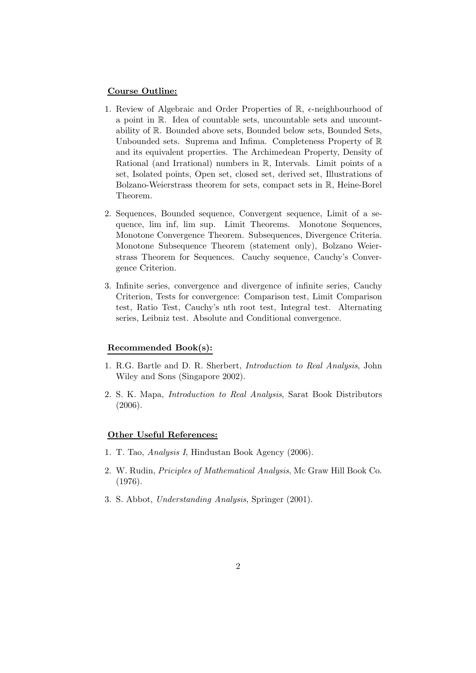#### Course Outline:

- 1. Review of Algebraic and Order Properties of  $\mathbb{R}$ ,  $\epsilon$ -neighbourhood of a point in R. Idea of countable sets, uncountable sets and uncountability of R. Bounded above sets, Bounded below sets, Bounded Sets, Unbounded sets. Suprema and Infima. Completeness Property of R and its equivalent properties. The Archimedean Property, Density of Rational (and Irrational) numbers in R, Intervals. Limit points of a set, Isolated points, Open set, closed set, derived set, Illustrations of Bolzano-Weierstrass theorem for sets, compact sets in R, Heine-Borel Theorem.
- 2. Sequences, Bounded sequence, Convergent sequence, Limit of a sequence, lim inf, lim sup. Limit Theorems. Monotone Sequences, Monotone Convergence Theorem. Subsequences, Divergence Criteria. Monotone Subsequence Theorem (statement only), Bolzano Weierstrass Theorem for Sequences. Cauchy sequence, Cauchy's Convergence Criterion.
- 3. Infinite series, convergence and divergence of infinite series, Cauchy Criterion, Tests for convergence: Comparison test, Limit Comparison test, Ratio Test, Cauchy's nth root test, Integral test. Alternating series, Leibniz test. Absolute and Conditional convergence.

#### Recommended Book(s):

- 1. R.G. Bartle and D. R. Sherbert, Introduction to Real Analysis, John Wiley and Sons (Singapore 2002).
- 2. S. K. Mapa, Introduction to Real Analysis, Sarat Book Distributors (2006).

#### Other Useful References:

- 1. T. Tao, Analysis I, Hindustan Book Agency (2006).
- 2. W. Rudin, Priciples of Mathematical Analysis, Mc Graw Hill Book Co. (1976).
- 3. S. Abbot, Understanding Analysis, Springer (2001).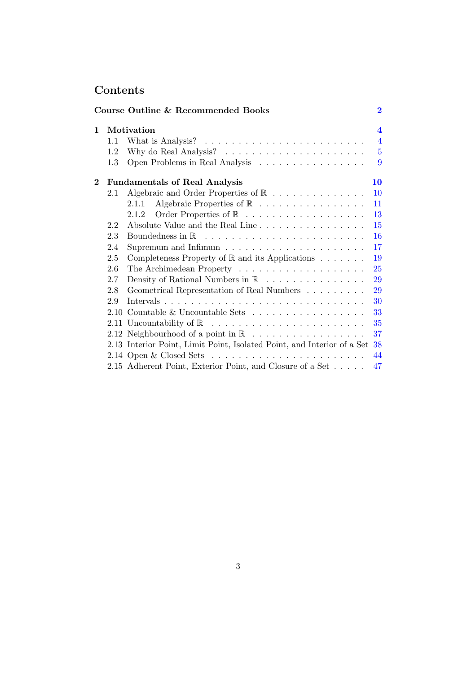# Contents

|          |     | Course Outline & Recommended Books                                              | $\overline{2}$          |
|----------|-----|---------------------------------------------------------------------------------|-------------------------|
| 1        |     | Motivation                                                                      | $\overline{\mathbf{4}}$ |
|          | 1.1 | What is Analysis? $\dots \dots \dots \dots \dots \dots \dots \dots \dots \dots$ | $\overline{4}$          |
|          | 1.2 |                                                                                 | $\overline{5}$          |
|          | 1.3 | Open Problems in Real Analysis                                                  | 9                       |
| $\bf{2}$ |     | <b>Fundamentals of Real Analysis</b>                                            | 10                      |
|          | 2.1 | Algebraic and Order Properties of $\mathbb R$                                   | <b>10</b>               |
|          |     | 2.1.1                                                                           | 11                      |
|          |     | 2.1.2                                                                           | 13                      |
|          | 2.2 | Absolute Value and the Real Line                                                | 15                      |
|          | 2.3 |                                                                                 | <b>16</b>               |
|          | 2.4 | Supremum and Infimum $\ldots \ldots \ldots \ldots \ldots \ldots \ldots$         | 17                      |
|          | 2.5 | Completeness Property of $\mathbb R$ and its Applications $\ldots \ldots$       | 19                      |
|          | 2.6 |                                                                                 | 25                      |
|          | 2.7 | Density of Rational Numbers in $\mathbb R$                                      | 29                      |
|          | 2.8 | Geometrical Representation of Real Numbers                                      | 29                      |
|          | 2.9 |                                                                                 | 30                      |
|          |     | 2.10 Countable & Uncountable Sets $\ldots \ldots \ldots \ldots \ldots$          | 33                      |
|          |     |                                                                                 | 35                      |
|          |     | 2.12 Neighbourhood of a point in $\mathbb{R}$                                   | 37                      |
|          |     | 2.13 Interior Point, Limit Point, Isolated Point, and Interior of a Set         | 38                      |
|          |     |                                                                                 | 44                      |
|          |     | 2.15 Adherent Point, Exterior Point, and Closure of a Set                       | 47                      |
|          |     |                                                                                 |                         |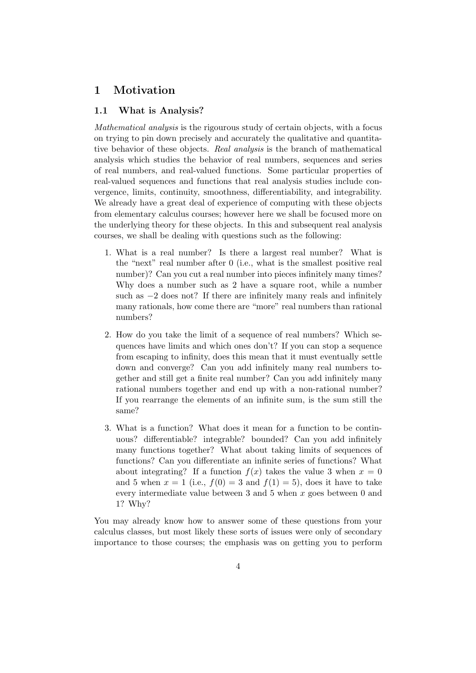# <span id="page-3-1"></span><span id="page-3-0"></span>1 Motivation

### 1.1 What is Analysis?

Mathematical analysis is the rigourous study of certain objects, with a focus on trying to pin down precisely and accurately the qualitative and quantitative behavior of these objects. Real analysis is the branch of mathematical analysis which studies the behavior of real numbers, sequences and series of real numbers, and real-valued functions. Some particular properties of real-valued sequences and functions that real analysis studies include convergence, limits, continuity, smoothness, differentiability, and integrability. We already have a great deal of experience of computing with these objects from elementary calculus courses; however here we shall be focused more on the underlying theory for these objects. In this and subsequent real analysis courses, we shall be dealing with questions such as the following:

- 1. What is a real number? Is there a largest real number? What is the "next" real number after 0 (i.e., what is the smallest positive real number)? Can you cut a real number into pieces infinitely many times? Why does a number such as 2 have a square root, while a number such as  $-2$  does not? If there are infinitely many reals and infinitely many rationals, how come there are "more" real numbers than rational numbers?
- 2. How do you take the limit of a sequence of real numbers? Which sequences have limits and which ones don't? If you can stop a sequence from escaping to infinity, does this mean that it must eventually settle down and converge? Can you add infinitely many real numbers together and still get a finite real number? Can you add infinitely many rational numbers together and end up with a non-rational number? If you rearrange the elements of an infinite sum, is the sum still the same?
- 3. What is a function? What does it mean for a function to be continuous? differentiable? integrable? bounded? Can you add infinitely many functions together? What about taking limits of sequences of functions? Can you differentiate an infinite series of functions? What about integrating? If a function  $f(x)$  takes the value 3 when  $x = 0$ and 5 when  $x = 1$  (i.e.,  $f(0) = 3$  and  $f(1) = 5$ ), does it have to take every intermediate value between 3 and 5 when  $x$  goes between 0 and 1? Why?

You may already know how to answer some of these questions from your calculus classes, but most likely these sorts of issues were only of secondary importance to those courses; the emphasis was on getting you to perform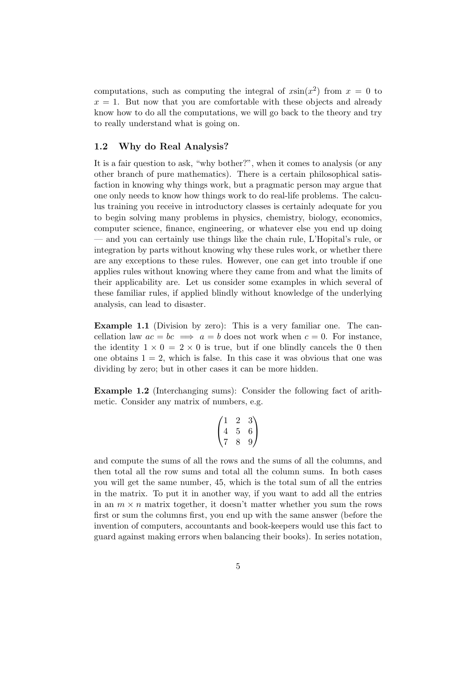computations, such as computing the integral of  $x\sin(x^2)$  from  $x = 0$  to  $x = 1$ . But now that you are comfortable with these objects and already know how to do all the computations, we will go back to the theory and try to really understand what is going on.

#### <span id="page-4-0"></span>1.2 Why do Real Analysis?

It is a fair question to ask, "why bother?", when it comes to analysis (or any other branch of pure mathematics). There is a certain philosophical satisfaction in knowing why things work, but a pragmatic person may argue that one only needs to know how things work to do real-life problems. The calculus training you receive in introductory classes is certainly adequate for you to begin solving many problems in physics, chemistry, biology, economics, computer science, finance, engineering, or whatever else you end up doing — and you can certainly use things like the chain rule, L'Hopital's rule, or integration by parts without knowing why these rules work, or whether there are any exceptions to these rules. However, one can get into trouble if one applies rules without knowing where they came from and what the limits of their applicability are. Let us consider some examples in which several of these familiar rules, if applied blindly without knowledge of the underlying analysis, can lead to disaster.

Example 1.1 (Division by zero): This is a very familiar one. The cancellation law  $ac = bc \implies a = b$  does not work when  $c = 0$ . For instance, the identity  $1 \times 0 = 2 \times 0$  is true, but if one blindly cancels the 0 then one obtains  $1 = 2$ , which is false. In this case it was obvious that one was dividing by zero; but in other cases it can be more hidden.

Example 1.2 (Interchanging sums): Consider the following fact of arithmetic. Consider any matrix of numbers, e.g.

$$
\begin{pmatrix}\n1 & 2 & 3 \\
4 & 5 & 6 \\
7 & 8 & 9\n\end{pmatrix}
$$

and compute the sums of all the rows and the sums of all the columns, and then total all the row sums and total all the column sums. In both cases you will get the same number, 45, which is the total sum of all the entries in the matrix. To put it in another way, if you want to add all the entries in an  $m \times n$  matrix together, it doesn't matter whether you sum the rows first or sum the columns first, you end up with the same answer (before the invention of computers, accountants and book-keepers would use this fact to guard against making errors when balancing their books). In series notation,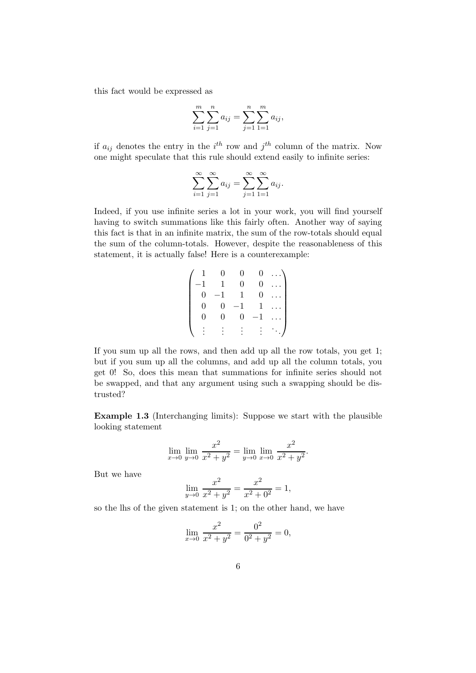this fact would be expressed as

$$
\sum_{i=1}^{m} \sum_{j=1}^{n} a_{ij} = \sum_{j=1}^{n} \sum_{1=1}^{m} a_{ij},
$$

if  $a_{ij}$  denotes the entry in the  $i^{th}$  row and  $j^{th}$  column of the matrix. Now one might speculate that this rule should extend easily to infinite series:

$$
\sum_{i=1}^{\infty} \sum_{j=1}^{\infty} a_{ij} = \sum_{j=1}^{\infty} \sum_{1=1}^{\infty} a_{ij}.
$$

Indeed, if you use infinite series a lot in your work, you will find yourself having to switch summations like this fairly often. Another way of saying this fact is that in an infinite matrix, the sum of the row-totals should equal the sum of the column-totals. However, despite the reasonableness of this statement, it is actually false! Here is a counterexample:

$$
\begin{pmatrix}\n1 & 0 & 0 & 0 & \dots \\
-1 & 1 & 0 & 0 & \dots \\
0 & -1 & 1 & 0 & \dots \\
0 & 0 & -1 & 1 & \dots \\
0 & 0 & 0 & -1 & \dots \\
\vdots & \vdots & \vdots & \vdots & \ddots\n\end{pmatrix}
$$

If you sum up all the rows, and then add up all the row totals, you get 1; but if you sum up all the columns, and add up all the column totals, you get 0! So, does this mean that summations for infinite series should not be swapped, and that any argument using such a swapping should be distrusted?

Example 1.3 (Interchanging limits): Suppose we start with the plausible looking statement

$$
\lim_{x \to 0} \lim_{y \to 0} \frac{x^2}{x^2 + y^2} = \lim_{y \to 0} \lim_{x \to 0} \frac{x^2}{x^2 + y^2}.
$$

But we have

$$
\lim_{y \to 0} \frac{x^2}{x^2 + y^2} = \frac{x^2}{x^2 + 0^2} = 1,
$$

so the lhs of the given statement is 1; on the other hand, we have

$$
\lim_{x \to 0} \frac{x^2}{x^2 + y^2} = \frac{0^2}{0^2 + y^2} = 0,
$$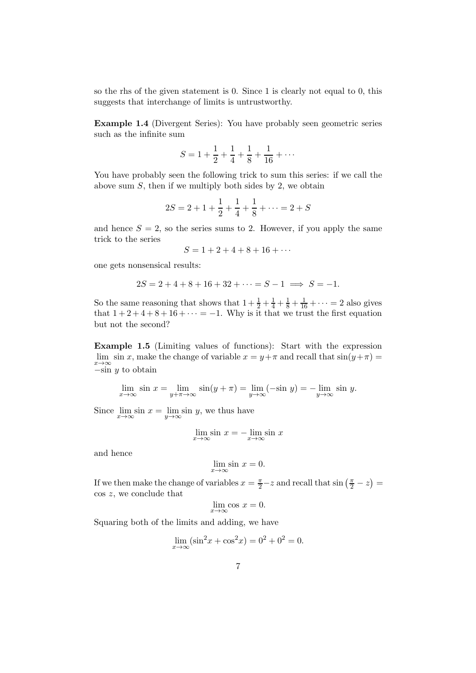so the rhs of the given statement is 0. Since 1 is clearly not equal to 0, this suggests that interchange of limits is untrustworthy.

Example 1.4 (Divergent Series): You have probably seen geometric series such as the infinite sum

$$
S = 1 + \frac{1}{2} + \frac{1}{4} + \frac{1}{8} + \frac{1}{16} + \dots
$$

You have probably seen the following trick to sum this series: if we call the above sum  $S$ , then if we multiply both sides by 2, we obtain

$$
2S = 2 + 1 + \frac{1}{2} + \frac{1}{4} + \frac{1}{8} + \dots = 2 + S
$$

and hence  $S = 2$ , so the series sums to 2. However, if you apply the same trick to the series

$$
S = 1 + 2 + 4 + 8 + 16 + \cdots
$$

one gets nonsensical results:

$$
2S = 2 + 4 + 8 + 16 + 32 + \dots = S - 1 \implies S = -1.
$$

So the same reasoning that shows that  $1 + \frac{1}{2} + \frac{1}{4} + \frac{1}{8} + \frac{1}{16} + \cdots = 2$  also gives that  $1+2+4+8+16+\cdots = -1$ . Why is it that we trust the first equation but not the second?

Example 1.5 (Limiting values of functions): Start with the expression lim sin x, make the change of variable  $x = y + \pi$  and recall that  $sin(y + \pi) =$  $-\sin y$  to obtain

$$
\lim_{x \to \infty} \sin x = \lim_{y + \pi \to \infty} \sin(y + \pi) = \lim_{y \to \infty} (-\sin y) = -\lim_{y \to \infty} \sin y.
$$

Since  $\lim_{x \to \infty} \sin x = \lim_{y \to \infty}$  $y \rightarrow \infty$  $sin y$ , we thus have

$$
\lim_{x \to \infty} \sin x = -\lim_{x \to \infty} \sin x
$$

and hence

$$
\lim_{x \to \infty} \sin x = 0.
$$

If we then make the change of variables  $x = \frac{\pi}{2} - z$  and recall that  $\sin\left(\frac{\pi}{2} - z\right) =$ cos z, we conclude that

$$
\lim_{x \to \infty} \cos x = 0.
$$

Squaring both of the limits and adding, we have

$$
\lim_{x \to \infty} (\sin^2 x + \cos^2 x) = 0^2 + 0^2 = 0.
$$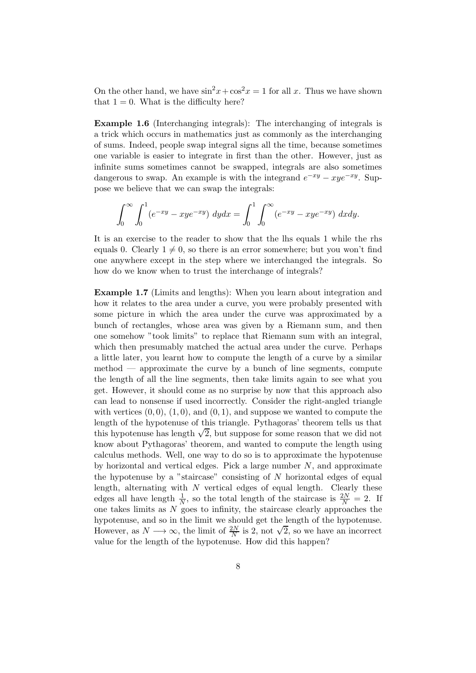On the other hand, we have  $\sin^2 x + \cos^2 x = 1$  for all x. Thus we have shown that  $1 = 0$ . What is the difficulty here?

Example 1.6 (Interchanging integrals): The interchanging of integrals is a trick which occurs in mathematics just as commonly as the interchanging of sums. Indeed, people swap integral signs all the time, because sometimes one variable is easier to integrate in first than the other. However, just as infinite sums sometimes cannot be swapped, integrals are also sometimes dangerous to swap. An example is with the integrand  $e^{-xy} - xye^{-xy}$ . Suppose we believe that we can swap the integrals:

$$
\int_0^{\infty} \int_0^1 (e^{-xy} - xye^{-xy}) \, dy dx = \int_0^1 \int_0^{\infty} (e^{-xy} - xye^{-xy}) \, dx dy.
$$

It is an exercise to the reader to show that the lhs equals 1 while the rhs equals 0. Clearly  $1 \neq 0$ , so there is an error somewhere; but you won't find one anywhere except in the step where we interchanged the integrals. So how do we know when to trust the interchange of integrals?

Example 1.7 (Limits and lengths): When you learn about integration and how it relates to the area under a curve, you were probably presented with some picture in which the area under the curve was approximated by a bunch of rectangles, whose area was given by a Riemann sum, and then one somehow "took limits" to replace that Riemann sum with an integral, which then presumably matched the actual area under the curve. Perhaps a little later, you learnt how to compute the length of a curve by a similar method — approximate the curve by a bunch of line segments, compute the length of all the line segments, then take limits again to see what you get. However, it should come as no surprise by now that this approach also can lead to nonsense if used incorrectly. Consider the right-angled triangle with vertices  $(0, 0)$ ,  $(1, 0)$ , and  $(0, 1)$ , and suppose we wanted to compute the length of the hypotenuse of this triangle. Pythagoras' theorem tells us that this hypotenuse has length  $\sqrt{2}$ , but suppose for some reason that we did not know about Pythagoras' theorem, and wanted to compute the length using calculus methods. Well, one way to do so is to approximate the hypotenuse by horizontal and vertical edges. Pick a large number  $N$ , and approximate the hypotenuse by a "staircase" consisting of N horizontal edges of equal length, alternating with  $N$  vertical edges of equal length. Clearly these edges all have length  $\frac{1}{N}$ , so the total length of the staircase is  $\frac{2N}{N} = 2$ . If one takes limits as  $N$  goes to infinity, the staircase clearly approaches the hypotenuse, and so in the limit we should get the length of the hypotenuse. However, as  $N \longrightarrow \infty$ , the limit of  $\frac{2N}{N}$  is 2, not  $\sqrt{2}$ , so we have an incorrect value for the length of the hypotenuse. How did this happen?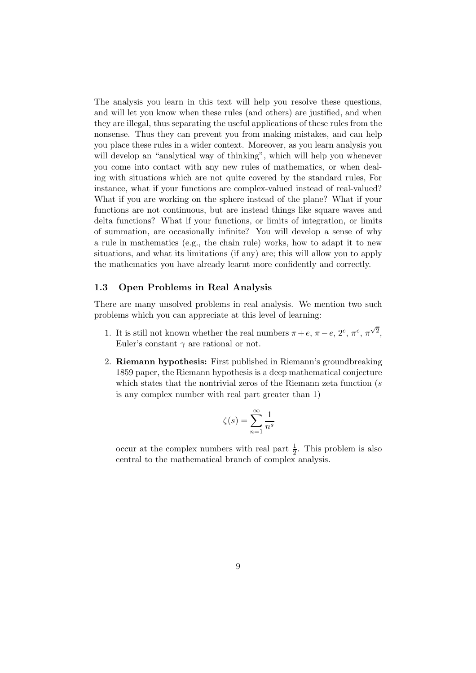The analysis you learn in this text will help you resolve these questions, and will let you know when these rules (and others) are justified, and when they are illegal, thus separating the useful applications of these rules from the nonsense. Thus they can prevent you from making mistakes, and can help you place these rules in a wider context. Moreover, as you learn analysis you will develop an "analytical way of thinking", which will help you whenever you come into contact with any new rules of mathematics, or when dealing with situations which are not quite covered by the standard rules, For instance, what if your functions are complex-valued instead of real-valued? What if you are working on the sphere instead of the plane? What if your functions are not continuous, but are instead things like square waves and delta functions? What if your functions, or limits of integration, or limits of summation, are occasionally infinite? You will develop a sense of why a rule in mathematics (e.g., the chain rule) works, how to adapt it to new situations, and what its limitations (if any) are; this will allow you to apply the mathematics you have already learnt more confidently and correctly.

#### <span id="page-8-0"></span>1.3 Open Problems in Real Analysis

There are many unsolved problems in real analysis. We mention two such problems which you can appreciate at this level of learning:

- 1. It is still not known whether the real numbers  $\pi + e$ ,  $\pi e$ ,  $2^e$ ,  $\pi^e$ ,  $\pi^{\sqrt{2}}$ , Euler's constant  $\gamma$  are rational or not.
- 2. Riemann hypothesis: First published in Riemann's groundbreaking 1859 paper, the Riemann hypothesis is a deep mathematical conjecture which states that the nontrivial zeros of the Riemann zeta function (s is any complex number with real part greater than 1)

$$
\zeta(s) = \sum_{n=1}^{\infty} \frac{1}{n^s}
$$

occur at the complex numbers with real part  $\frac{1}{2}$ . This problem is also central to the mathematical branch of complex analysis.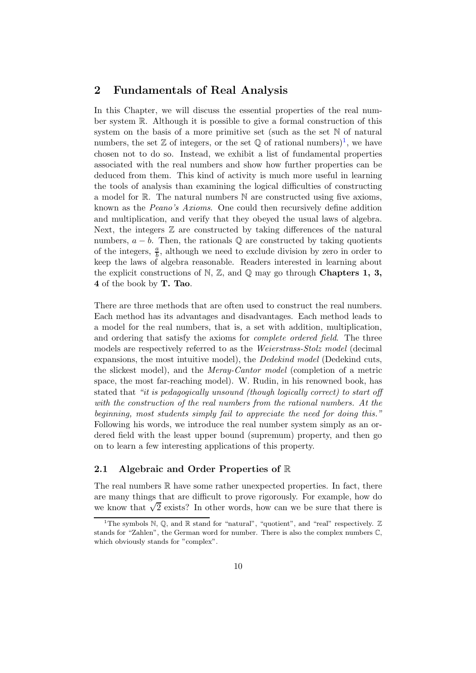# <span id="page-9-0"></span>2 Fundamentals of Real Analysis

In this Chapter, we will discuss the essential properties of the real number system R. Although it is possible to give a formal construction of this system on the basis of a more primitive set (such as the set N of natural numbers, the set  $\mathbb Z$  of integers, or the set  $\mathbb Q$  of rational numbers)<sup>[1](#page-9-2)</sup>, we have chosen not to do so. Instead, we exhibit a list of fundamental properties associated with the real numbers and show how further properties can be deduced from them. This kind of activity is much more useful in learning the tools of analysis than examining the logical difficulties of constructing a model for R. The natural numbers N are constructed using five axioms, known as the Peano's Axioms. One could then recursively define addition and multiplication, and verify that they obeyed the usual laws of algebra. Next, the integers  $\mathbb Z$  are constructed by taking differences of the natural numbers,  $a - b$ . Then, the rationals  $\mathbb Q$  are constructed by taking quotients of the integers,  $\frac{a}{b}$ , although we need to exclude division by zero in order to keep the laws of algebra reasonable. Readers interested in learning about the explicit constructions of N,  $\mathbb{Z}$ , and  $\mathbb{Q}$  may go through **Chapters 1, 3,** 4 of the book by T. Tao.

There are three methods that are often used to construct the real numbers. Each method has its advantages and disadvantages. Each method leads to a model for the real numbers, that is, a set with addition, multiplication, and ordering that satisfy the axioms for *complete ordered field*. The three models are respectively referred to as the Weierstrass-Stolz model (decimal expansions, the most intuitive model), the Dedekind model (Dedekind cuts, the slickest model), and the Meray-Cantor model (completion of a metric space, the most far-reaching model). W. Rudin, in his renowned book, has stated that "it is pedagogically unsound (though logically correct) to start off with the construction of the real numbers from the rational numbers. At the beginning, most students simply fail to appreciate the need for doing this." Following his words, we introduce the real number system simply as an ordered field with the least upper bound (supremum) property, and then go on to learn a few interesting applications of this property.

#### <span id="page-9-1"></span>2.1 Algebraic and Order Properties of R

The real numbers  $\mathbb R$  have some rather unexpected properties. In fact, there are many things that are difficult to prove rigorously. For example, how do we know that  $\sqrt{2}$  exists? In other words, how can we be sure that there is

<span id="page-9-2"></span><sup>&</sup>lt;sup>1</sup>The symbols N, Q, and R stand for "natural", "quotient", and "real" respectively.  $\mathbb Z$ stands for "Zahlen", the German word for number. There is also the complex numbers C, which obviously stands for "complex".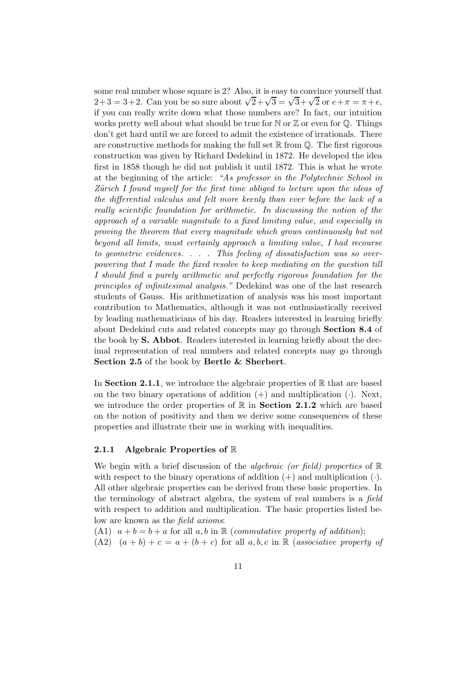some real number whose square is 2? Also, it is easy to convince yourself that 2+3 = 3+2. Can you be so sure about  $\sqrt{2} + \sqrt{3} = \sqrt{3} + \sqrt{2}$  or  $e + \pi = \pi + e$ , if you can really write down what those numbers are? In fact, our intuition works pretty well about what should be true for  $\mathbb N$  or  $\mathbb Z$  or even for  $\mathbb Q$ . Things don't get hard until we are forced to admit the existence of irrationals. There are constructive methods for making the full set  $\mathbb R$  from  $\mathbb O$ . The first rigorous construction was given by Richard Dedekind in 1872. He developed the idea first in 1858 though he did not publish it until 1872. This is what he wrote at the beginning of the article: "As professor in the Polytechnic School in Zürich I found myself for the first time obliged to lecture upon the ideas of the differential calculus and felt more keenly than ever before the lack of a really scientific foundation for arithmetic. In discussing the notion of the approach of a variable magnitude to a fixed limiting value, and especially in proving the theorem that every magnitude which grows continuously but not beyond all limits, must certainly approach a limiting value, I had recourse to geometric evidences. . . . This feeling of dissatisfaction was so overpowering that I made the fixed resolve to keep mediating on the question till I should find a purely arithmetic and perfectly rigorous foundation for the principles of infinitesimal analysis." Dedekind was one of the last research students of Gauss. His arithmetization of analysis was his most important contribution to Mathematics, although it was not enthusiastically received by leading mathematicians of his day. Readers interested in learning briefly about Dedekind cuts and related concepts may go through Section 8.4 of the book by S. Abbot. Readers interested in learning briefly about the decimal representation of real numbers and related concepts may go through Section 2.5 of the book by Bertle & Sherbert.

In Section 2.1.1, we introduce the algebraic properties of  $\mathbb R$  that are based on the two binary operations of addition  $(+)$  and multiplication  $(·)$ . Next, we introduce the order properties of  $\mathbb R$  in **Section 2.1.2** which are based on the notion of positivity and then we derive some consequences of these properties and illustrate their use in working with inequalities.

#### <span id="page-10-0"></span>2.1.1 Algebraic Properties of R

We begin with a brief discussion of the *algebraic (or field)* properties of  $\mathbb{R}$ with respect to the binary operations of addition  $(+)$  and multiplication  $(.)$ . All other algebraic properties can be derived from these basic properties. In the terminology of abstract algebra, the system of real numbers is a field with respect to addition and multiplication. The basic properties listed below are known as the field axioms:

(A1)  $a + b = b + a$  for all a, b in R (commutative property of addition);

 $(A2)$   $(a + b) + c = a + (b + c)$  for all  $a, b, c$  in R (associative property of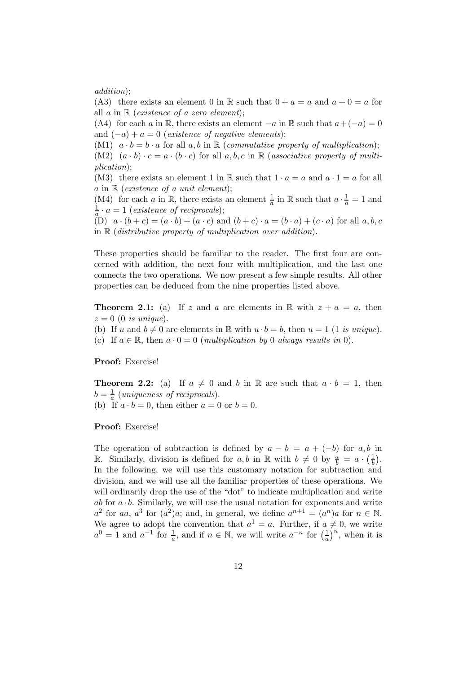addition);

(A3) there exists an element 0 in R such that  $0 + a = a$  and  $a + 0 = a$  for all  $a$  in  $\mathbb R$  (existence of a zero element);

(A4) for each a in R, there exists an element  $-a$  in R such that  $a+(-a)=0$ and  $(-a) + a = 0$  (existence of negative elements);

(M1)  $a \cdot b = b \cdot a$  for all  $a, b$  in  $\mathbb R$  (commutative property of multiplication); (M2)  $(a \cdot b) \cdot c = a \cdot (b \cdot c)$  for all  $a, b, c$  in R (associative property of multiplication);

(M3) there exists an element 1 in R such that  $1 \cdot a = a$  and  $a \cdot 1 = a$  for all a in  $\mathbb R$  (existence of a unit element);

(M4) for each a in R, there exists an element  $\frac{1}{a}$  in R such that  $a \cdot \frac{1}{a} = 1$  and  $\frac{1}{a} \cdot a = 1$  (existence of reciprocals);

(D)  $a \cdot (b+c) = (a \cdot b) + (a \cdot c)$  and  $(b+c) \cdot a = (b \cdot a) + (c \cdot a)$  for all  $a, b, c$ in  $\mathbb R$  (distributive property of multiplication over addition).

These properties should be familiar to the reader. The first four are concerned with addition, the next four with multiplication, and the last one connects the two operations. We now present a few simple results. All other properties can be deduced from the nine properties listed above.

**Theorem 2.1:** (a) If z and a are elements in R with  $z + a = a$ , then  $z = 0$  (0 is unique).

(b) If u and  $b \neq 0$  are elements in R with  $u \cdot b = b$ , then  $u = 1$  (1 is unique).

(c) If  $a \in \mathbb{R}$ , then  $a \cdot 0 = 0$  (*multiplication by* 0 *always results in* 0).

Proof: Exercise!

**Theorem 2.2:** (a) If  $a \neq 0$  and b in R are such that  $a \cdot b = 1$ , then  $b = \frac{1}{a}$  (uniqueness of reciprocals). (b) If  $a \cdot b = 0$ , then either  $a = 0$  or  $b = 0$ .

Proof: Exercise!

The operation of subtraction is defined by  $a - b = a + (-b)$  for a, b in R. Similarly, division is defined for  $a, b$  in R with  $b \neq 0$  by  $\frac{a}{b} = a \cdot (\frac{1}{b})$ . In the following, we will use this customary notation for subtraction and division, and we will use all the familiar properties of these operations. We will ordinarily drop the use of the "dot" to indicate multiplication and write ab for  $a \cdot b$ . Similarly, we will use the usual notation for exponents and write  $a^2$  for aa,  $a^3$  for  $(a^2)a$ ; and, in general, we define  $a^{n+1} = (a^n)a$  for  $n \in \mathbb{N}$ . We agree to adopt the convention that  $a^1 = a$ . Further, if  $a \neq 0$ , we write  $a^0 = 1$  and  $a^{-1}$  for  $\frac{1}{a}$ , and if  $n \in \mathbb{N}$ , we will write  $a^{-n}$  for  $\left(\frac{1}{a}\right)^n$ , when it is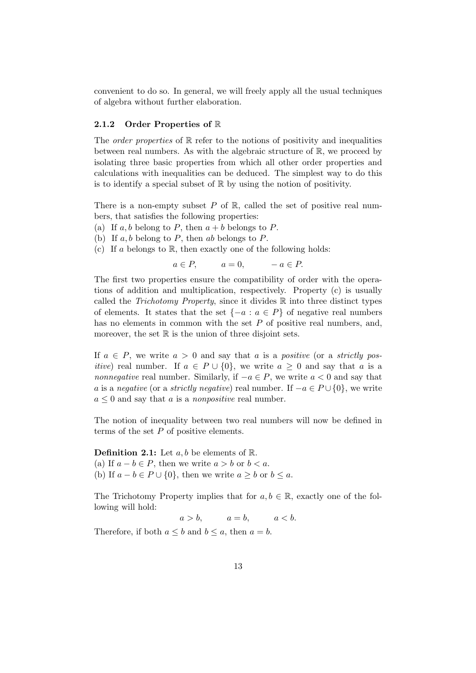convenient to do so. In general, we will freely apply all the usual techniques of algebra without further elaboration.

#### <span id="page-12-0"></span>2.1.2 Order Properties of R

The *order properties* of  $\mathbb R$  refer to the notions of positivity and inequalities between real numbers. As with the algebraic structure of R, we proceed by isolating three basic properties from which all other order properties and calculations with inequalities can be deduced. The simplest way to do this is to identify a special subset of  $\mathbb R$  by using the notion of positivity.

There is a non-empty subset  $P$  of  $\mathbb{R}$ , called the set of positive real numbers, that satisfies the following properties:

- (a) If  $a, b$  belong to  $P$ , then  $a + b$  belongs to  $P$ .
- (b) If  $a, b$  belong to  $P$ , then  $ab$  belongs to  $P$ .
- (c) If a belongs to  $\mathbb R$ , then exactly one of the following holds:

 $a \in P$ ,  $a = 0$ ,  $-a \in P$ .

The first two properties ensure the compatibility of order with the operations of addition and multiplication, respectively. Property (c) is usually called the *Trichotomy Property*, since it divides  $\mathbb R$  into three distinct types of elements. It states that the set  $\{-a : a \in P\}$  of negative real numbers has no elements in common with the set P of positive real numbers, and, moreover, the set  $\mathbb R$  is the union of three disjoint sets.

If  $a \in P$ , we write  $a > 0$  and say that a is a positive (or a strictly pos*itive*) real number. If  $a \in P \cup \{0\}$ , we write  $a \geq 0$  and say that a is a *nonnegative* real number. Similarly, if  $-a \in P$ , we write  $a < 0$  and say that a is a negative (or a strictly negative) real number. If  $-a \in P \cup \{0\}$ , we write  $a \leq 0$  and say that a is a *nonpositive* real number.

The notion of inequality between two real numbers will now be defined in terms of the set P of positive elements.

**Definition 2.1:** Let  $a, b$  be elements of  $\mathbb{R}$ . (a) If  $a - b \in P$ , then we write  $a > b$  or  $b < a$ . (b) If  $a - b \in P \cup \{0\}$ , then we write  $a \geq b$  or  $b \leq a$ .

The Trichotomy Property implies that for  $a, b \in \mathbb{R}$ , exactly one of the following will hold:

 $a > b$ ,  $a = b$ ,  $a < b$ .

Therefore, if both  $a \leq b$  and  $b \leq a$ , then  $a = b$ .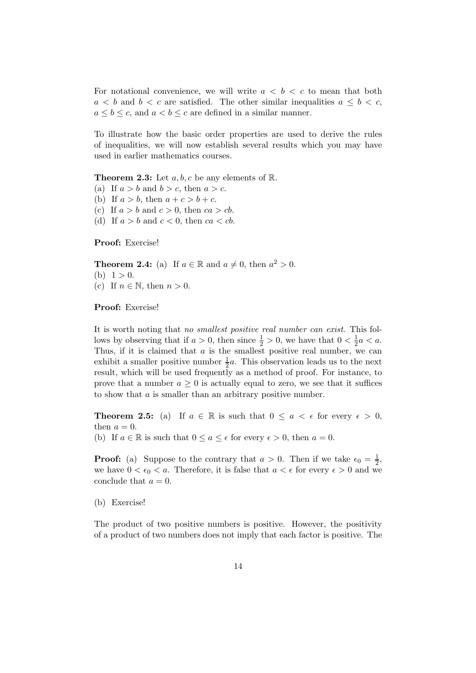For notational convenience, we will write  $a < b < c$  to mean that both  $a < b$  and  $b < c$  are satisfied. The other similar inequalities  $a \leq b < c$ ,  $a \leq b \leq c$ , and  $a < b \leq c$  are defined in a similar manner.

To illustrate how the basic order properties are used to derive the rules of inequalities, we will now establish several results which you may have used in earlier mathematics courses.

**Theorem 2.3:** Let  $a, b, c$  be any elements of  $\mathbb{R}$ .

- (a) If  $a > b$  and  $b > c$ , then  $a > c$ .
- (b) If  $a > b$ , then  $a + c > b + c$ .
- (c) If  $a > b$  and  $c > 0$ , then  $ca > cb$ .
- (d) If  $a > b$  and  $c < 0$ , then  $ca < cb$ .

Proof: Exercise!

**Theorem 2.4:** (a) If  $a \in \mathbb{R}$  and  $a \neq 0$ , then  $a^2 > 0$ . (b)  $1 > 0$ . (c) If  $n \in \mathbb{N}$ , then  $n > 0$ .

Proof: Exercise!

It is worth noting that no smallest positive real number can exist. This follows by observing that if  $a > 0$ , then since  $\frac{1}{2} > 0$ , we have that  $0 < \frac{1}{2}$  $\frac{1}{2}a < a.$ Thus, if it is claimed that  $a$  is the smallest positive real number, we can exhibit a smaller positive number  $\frac{1}{2}a$ . This observation leads us to the next result, which will be used frequently as a method of proof. For instance, to prove that a number  $a \geq 0$  is actually equal to zero, we see that it suffices to show that a is smaller than an arbitrary positive number.

**Theorem 2.5:** (a) If  $a \in \mathbb{R}$  is such that  $0 \le a \le \epsilon$  for every  $\epsilon > 0$ , then  $a = 0$ .

(b) If  $a \in \mathbb{R}$  is such that  $0 \le a \le \epsilon$  for every  $\epsilon > 0$ , then  $a = 0$ .

**Proof:** (a) Suppose to the contrary that  $a > 0$ . Then if we take  $\epsilon_0 = \frac{1}{2}$  $\frac{1}{2}$ , we have  $0 < \epsilon_0 < a$ . Therefore, it is false that  $a < \epsilon$  for every  $\epsilon > 0$  and we conclude that  $a = 0$ .

(b) Exercise!

The product of two positive numbers is positive. However, the positivity of a product of two numbers does not imply that each factor is positive. The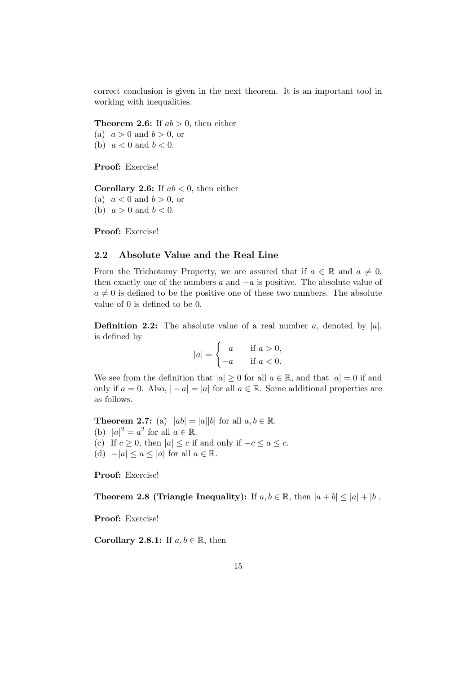correct conclusion is given in the next theorem. It is an important tool in working with inequalities.

**Theorem 2.6:** If  $ab > 0$ , then either (a)  $a > 0$  and  $b > 0$ , or (b)  $a < 0$  and  $b < 0$ .

Proof: Exercise!

**Corollary 2.6:** If  $ab < 0$ , then either (a)  $a < 0$  and  $b > 0$ , or

(b)  $a > 0$  and  $b < 0$ .

<span id="page-14-0"></span>Proof: Exercise!

#### 2.2 Absolute Value and the Real Line

From the Trichotomy Property, we are assured that if  $a \in \mathbb{R}$  and  $a \neq 0$ , then exactly one of the numbers  $a$  and  $-a$  is positive. The absolute value of  $a \neq 0$  is defined to be the positive one of these two numbers. The absolute value of 0 is defined to be 0.

**Definition 2.2:** The absolute value of a real number a, denoted by  $|a|$ , is defined by

$$
|a| = \begin{cases} a & \text{if } a > 0, \\ -a & \text{if } a < 0. \end{cases}
$$

We see from the definition that  $|a| \geq 0$  for all  $a \in \mathbb{R}$ , and that  $|a| = 0$  if and only if  $a = 0$ . Also,  $|-a| = |a|$  for all  $a \in \mathbb{R}$ . Some additional properties are as follows.

**Theorem 2.7:** (a)  $|ab| = |a||b|$  for all  $a, b \in \mathbb{R}$ . (b)  $|a|^2 = a^2$  for all  $a \in \mathbb{R}$ . (c) If  $c \geq 0$ , then  $|a| \leq c$  if and only if  $-c \leq a \leq c$ . (d)  $-|a| \le a \le |a|$  for all  $a \in \mathbb{R}$ .

Proof: Exercise!

Theorem 2.8 (Triangle Inequality): If  $a, b \in \mathbb{R}$ , then  $|a + b| \leq |a| + |b|$ .

Proof: Exercise!

Corollary 2.8.1: If  $a, b \in \mathbb{R}$ , then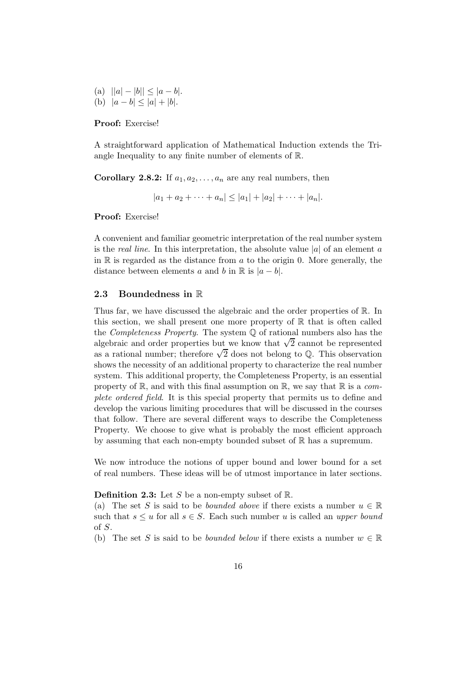(a)  $||a|-|b|| \leq |a-b|$ . (b)  $|a - b| < |a| + |b|$ .

Proof: Exercise!

A straightforward application of Mathematical Induction extends the Triangle Inequality to any finite number of elements of R.

**Corollary 2.8.2:** If  $a_1, a_2, \ldots, a_n$  are any real numbers, then

 $|a_1 + a_2 + \cdots + a_n| \leq |a_1| + |a_2| + \cdots + |a_n|.$ 

Proof: Exercise!

A convenient and familiar geometric interpretation of the real number system is the *real line*. In this interpretation, the absolute value  $|a|$  of an element a in  $\mathbb R$  is regarded as the distance from a to the origin 0. More generally, the distance between elements a and b in  $\mathbb R$  is  $|a-b|$ .

#### <span id="page-15-0"></span>2.3 Boundedness in R

Thus far, we have discussed the algebraic and the order properties of R. In this section, we shall present one more property of  $\mathbb R$  that is often called the *Completeness Property*. The system  $\mathbb Q$  of rational numbers also has the algebraic and order properties but we know that  $\sqrt{2}$  cannot be represented as a rational number; therefore  $\sqrt{2}$  does not belong to Q. This observation shows the necessity of an additional property to characterize the real number system. This additional property, the Completeness Property, is an essential property of  $\mathbb{R}$ , and with this final assumption on  $\mathbb{R}$ , we say that  $\mathbb{R}$  is a complete ordered field. It is this special property that permits us to define and develop the various limiting procedures that will be discussed in the courses that follow. There are several different ways to describe the Completeness Property. We choose to give what is probably the most efficient approach by assuming that each non-empty bounded subset of R has a supremum.

We now introduce the notions of upper bound and lower bound for a set of real numbers. These ideas will be of utmost importance in later sections.

**Definition 2.3:** Let S be a non-empty subset of  $\mathbb{R}$ .

(a) The set S is said to be *bounded above* if there exists a number  $u \in \mathbb{R}$ such that  $s \leq u$  for all  $s \in S$ . Each such number u is called an upper bound of S.

(b) The set S is said to be *bounded below* if there exists a number  $w \in \mathbb{R}$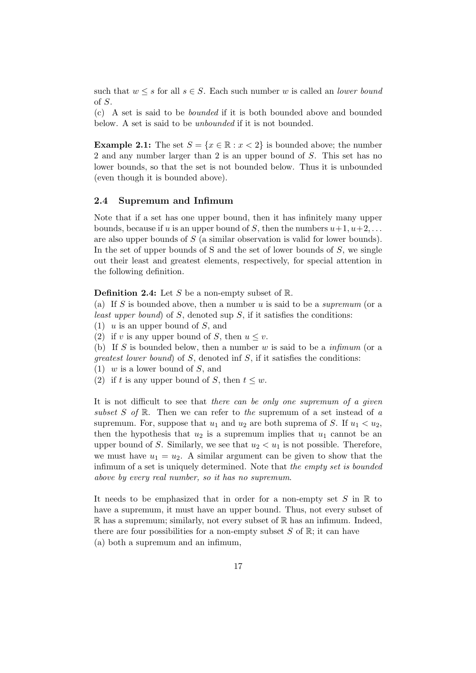such that  $w \leq s$  for all  $s \in S$ . Each such number w is called an *lower bound* of S.

(c) A set is said to be bounded if it is both bounded above and bounded below. A set is said to be unbounded if it is not bounded.

**Example 2.1:** The set  $S = \{x \in \mathbb{R} : x < 2\}$  is bounded above; the number 2 and any number larger than 2 is an upper bound of S. This set has no lower bounds, so that the set is not bounded below. Thus it is unbounded (even though it is bounded above).

#### <span id="page-16-0"></span>2.4 Supremum and Infimum

Note that if a set has one upper bound, then it has infinitely many upper bounds, because if u is an upper bound of S, then the numbers  $u+1, u+2, \ldots$ are also upper bounds of S (a similar observation is valid for lower bounds). In the set of upper bounds of S and the set of lower bounds of  $S$ , we single out their least and greatest elements, respectively, for special attention in the following definition.

**Definition 2.4:** Let S be a non-empty subset of  $\mathbb{R}$ .

(a) If S is bounded above, then a number  $u$  is said to be a supremum (or a least upper bound) of  $S$ , denoted sup  $S$ , if it satisfies the conditions:

 $(1)$  u is an upper bound of S, and

(2) if v is any upper bound of S, then  $u \leq v$ .

(b) If S is bounded below, then a number w is said to be a  $\text{infimum}$  (or a greatest lower bound) of S, denoted inf S, if it satisfies the conditions:

 $(1)$  w is a lower bound of S, and

(2) if t is any upper bound of S, then  $t \leq w$ .

It is not difficult to see that there can be only one supremum of a given subset S of R. Then we can refer to the supremum of a set instead of a supremum. For, suppose that  $u_1$  and  $u_2$  are both suprema of S. If  $u_1 < u_2$ , then the hypothesis that  $u_2$  is a supremum implies that  $u_1$  cannot be an upper bound of S. Similarly, we see that  $u_2 < u_1$  is not possible. Therefore, we must have  $u_1 = u_2$ . A similar argument can be given to show that the infimum of a set is uniquely determined. Note that the empty set is bounded above by every real number, so it has no supremum.

It needs to be emphasized that in order for a non-empty set S in  $\mathbb R$  to have a supremum, it must have an upper bound. Thus, not every subset of  $\mathbb R$  has a supremum; similarly, not every subset of  $\mathbb R$  has an infimum. Indeed, there are four possibilities for a non-empty subset  $S$  of  $\mathbb{R}$ ; it can have (a) both a supremum and an infimum,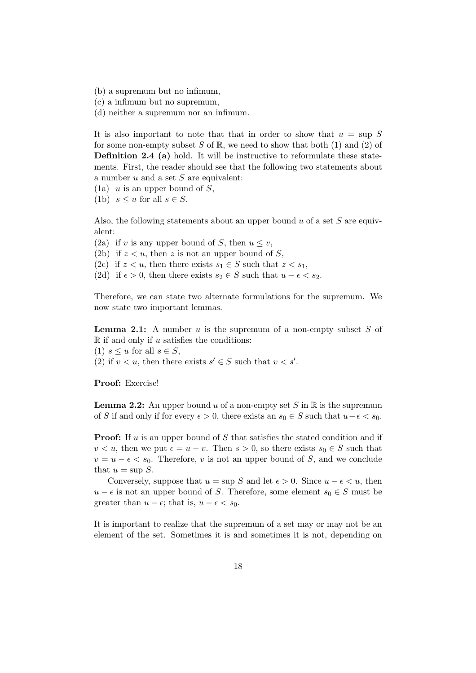- (b) a supremum but no infimum,
- (c) a infimum but no supremum,
- (d) neither a supremum nor an infimum.

It is also important to note that that in order to show that  $u = \sup S$ for some non-empty subset S of R, we need to show that both  $(1)$  and  $(2)$  of Definition 2.4 (a) hold. It will be instructive to reformulate these statements. First, the reader should see that the following two statements about a number  $u$  and a set  $S$  are equivalent:

- $(1a)$  u is an upper bound of S,
- (1b)  $s \leq u$  for all  $s \in S$ .

Also, the following statements about an upper bound  $u$  of a set  $S$  are equivalent:

(2a) if v is any upper bound of S, then  $u \leq v$ ,

(2b) if  $z < u$ , then z is not an upper bound of S,

- (2c) if  $z < u$ , then there exists  $s_1 \in S$  such that  $z < s_1$ ,
- (2d) if  $\epsilon > 0$ , then there exists  $s_2 \in S$  such that  $u \epsilon < s_2$ .

Therefore, we can state two alternate formulations for the supremum. We now state two important lemmas.

**Lemma 2.1:** A number u is the supremum of a non-empty subset  $S$  of  $\mathbb R$  if and only if u satisfies the conditions:

(1)  $s \leq u$  for all  $s \in S$ ,

(2) if  $v < u$ , then there exists  $s' \in S$  such that  $v < s'$ .

Proof: Exercise!

**Lemma 2.2:** An upper bound u of a non-empty set S in  $\mathbb{R}$  is the supremum of S if and only if for every  $\epsilon > 0$ , there exists an  $s_0 \in S$  such that  $u - \epsilon < s_0$ .

**Proof:** If u is an upper bound of S that satisfies the stated condition and if  $v < u$ , then we put  $\epsilon = u - v$ . Then  $s > 0$ , so there exists  $s_0 \in S$  such that  $v = u - \epsilon < s_0$ . Therefore, v is not an upper bound of S, and we conclude that  $u = \sup S$ .

Conversely, suppose that  $u = \sup S$  and let  $\epsilon > 0$ . Since  $u - \epsilon < u$ , then  $u - \epsilon$  is not an upper bound of S. Therefore, some element  $s_0 \in S$  must be greater than  $u - \epsilon$ ; that is,  $u - \epsilon < s_0$ .

It is important to realize that the supremum of a set may or may not be an element of the set. Sometimes it is and sometimes it is not, depending on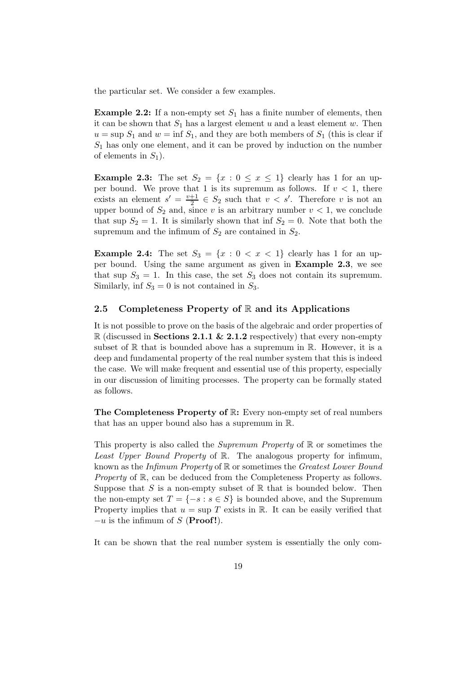the particular set. We consider a few examples.

**Example 2.2:** If a non-empty set  $S_1$  has a finite number of elements, then it can be shown that  $S_1$  has a largest element u and a least element w. Then  $u = \sup S_1$  and  $w = \inf S_1$ , and they are both members of  $S_1$  (this is clear if  $S_1$  has only one element, and it can be proved by induction on the number of elements in  $S_1$ ).

**Example 2.3:** The set  $S_2 = \{x : 0 \le x \le 1\}$  clearly has 1 for an upper bound. We prove that 1 is its supremum as follows. If  $v < 1$ , there exists an element  $s' = \frac{v+1}{2}$  $\frac{+1}{2} \in S_2$  such that  $v < s'$ . Therefore v is not an upper bound of  $S_2$  and, since v is an arbitrary number  $v < 1$ , we conclude that sup  $S_2 = 1$ . It is similarly shown that inf  $S_2 = 0$ . Note that both the supremum and the infimum of  $S_2$  are contained in  $S_2$ .

**Example 2.4:** The set  $S_3 = \{x : 0 < x < 1\}$  clearly has 1 for an upper bound. Using the same argument as given in Example 2.3, we see that sup  $S_3 = 1$ . In this case, the set  $S_3$  does not contain its supremum. Similarly, inf  $S_3 = 0$  is not contained in  $S_3$ .

#### <span id="page-18-0"></span>2.5 Completeness Property of  $\mathbb R$  and its Applications

It is not possible to prove on the basis of the algebraic and order properties of  $\mathbb R$  (discussed in **Sections 2.1.1 & 2.1.2** respectively) that every non-empty subset of  $\mathbb R$  that is bounded above has a supremum in  $\mathbb R$ . However, it is a deep and fundamental property of the real number system that this is indeed the case. We will make frequent and essential use of this property, especially in our discussion of limiting processes. The property can be formally stated as follows.

The Completeness Property of R: Every non-empty set of real numbers that has an upper bound also has a supremum in R.

This property is also called the *Supremum Property* of  $\mathbb{R}$  or sometimes the Least Upper Bound Property of R. The analogous property for infimum, known as the Infimum Property of R or sometimes the Greatest Lower Bound Property of R, can be deduced from the Completeness Property as follows. Suppose that S is a non-empty subset of  $\mathbb R$  that is bounded below. Then the non-empty set  $T = \{-s : s \in S\}$  is bounded above, and the Supremum Property implies that  $u = \sup T$  exists in R. It can be easily verified that  $-u$  is the infimum of S (**Proof!**).

It can be shown that the real number system is essentially the only com-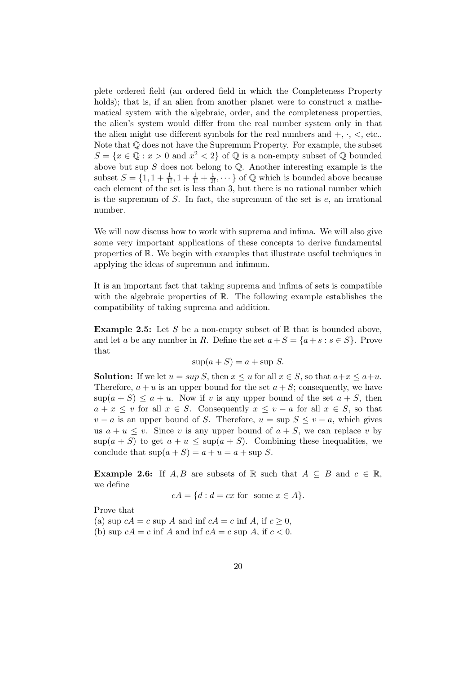plete ordered field (an ordered field in which the Completeness Property holds); that is, if an alien from another planet were to construct a mathematical system with the algebraic, order, and the completeness properties, the alien's system would differ from the real number system only in that the alien might use different symbols for the real numbers and  $+$ ,  $\cdot$ ,  $\lt$ , etc... Note that Q does not have the Supremum Property. For example, the subset  $S = \{x \in \mathbb{Q} : x > 0 \text{ and } x^2 < 2\}$  of  $\mathbb{Q}$  is a non-empty subset of  $\mathbb{Q}$  bounded above but sup  $S$  does not belong to  $\mathbb Q$ . Another interesting example is the subset  $S = \{1, 1 + \frac{1}{1!}, 1 + \frac{1}{1!} + \frac{1}{2!}, \dots\}$  of  $\mathbb{Q}$  which is bounded above because each element of the set is less than 3, but there is no rational number which is the supremum of  $S$ . In fact, the supremum of the set is  $e$ , an irrational number.

We will now discuss how to work with suprema and infima. We will also give some very important applications of these concepts to derive fundamental properties of R. We begin with examples that illustrate useful techniques in applying the ideas of supremum and infimum.

It is an important fact that taking suprema and infima of sets is compatible with the algebraic properties of R. The following example establishes the compatibility of taking suprema and addition.

**Example 2.5:** Let S be a non-empty subset of  $\mathbb{R}$  that is bounded above, and let a be any number in R. Define the set  $a + S = \{a + s : s \in S\}$ . Prove that

$$
\sup(a+S) = a + \sup S.
$$

**Solution:** If we let  $u = \sup S$ , then  $x \le u$  for all  $x \in S$ , so that  $a + x \le a + u$ . Therefore,  $a + u$  is an upper bound for the set  $a + S$ ; consequently, we have  $\sup(a + S) \le a + u$ . Now if v is any upper bound of the set  $a + S$ , then  $a + x \leq v$  for all  $x \in S$ . Consequently  $x \leq v - a$  for all  $x \in S$ , so that  $v - a$  is an upper bound of S. Therefore,  $u = \sup S \le v - a$ , which gives us  $a + u \leq v$ . Since v is any upper bound of  $a + S$ , we can replace v by  $\sup(a + S)$  to get  $a + u \leq \sup(a + S)$ . Combining these inequalities, we conclude that  $\sup(a + S) = a + u = a + \sup S$ .

**Example 2.6:** If A, B are subsets of R such that  $A \subseteq B$  and  $c \in \mathbb{R}$ , we define

$$
cA = \{d : d = cx \text{ for some } x \in A\}.
$$

Prove that

(a) sup  $cA = c$  sup A and inf  $cA = c$  inf A, if  $c \geq 0$ , (b) sup  $cA = c$  inf A and inf  $cA = c$  sup A, if  $c < 0$ .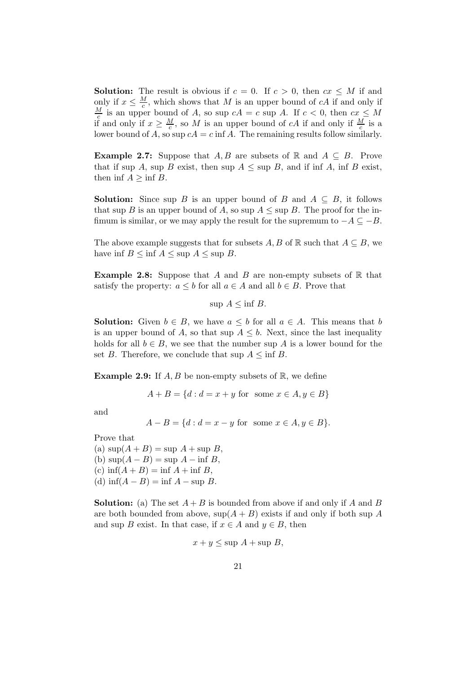**Solution:** The result is obvious if  $c = 0$ . If  $c > 0$ , then  $cx \leq M$  if and only if  $x \leq \frac{M}{c}$  $\frac{Q}{c}$ , which shows that M is an upper bound of cA if and only if M  $\frac{a}{c}$  is an upper bound of A, so sup  $cA = c$  sup A. If  $c < 0$ , then  $cx \leq M$ if and only if  $x \geq \frac{M}{c}$ , so M is an upper bound of cA if and only if  $\frac{M}{c}$  is a lower bound of A, so sup  $cA = c$  inf A. The remaining results follow similarly.

**Example 2.7:** Suppose that A, B are subsets of R and  $A \subseteq B$ . Prove that if sup A, sup B exist, then sup  $A \leq \sup B$ , and if inf A, inf B exist, then inf  $A \geq \inf B$ .

**Solution:** Since sup B is an upper bound of B and  $A \subseteq B$ , it follows that sup B is an upper bound of A, so sup  $A \leq \sup B$ . The proof for the infimum is similar, or we may apply the result for the supremum to  $-A \subseteq -B$ .

The above example suggests that for subsets A, B of R such that  $A \subseteq B$ , we have inf  $B \le \inf A \le \sup A \le \sup B$ .

**Example 2.8:** Suppose that A and B are non-empty subsets of  $\mathbb{R}$  that satisfy the property:  $a \leq b$  for all  $a \in A$  and all  $b \in B$ . Prove that

sup  $A \leq \inf B$ .

**Solution:** Given  $b \in B$ , we have  $a \leq b$  for all  $a \in A$ . This means that b is an upper bound of A, so that sup  $A \leq b$ . Next, since the last inequality holds for all  $b \in B$ , we see that the number sup A is a lower bound for the set B. Therefore, we conclude that sup  $A \leq \inf B$ .

**Example 2.9:** If  $A, B$  be non-empty subsets of  $\mathbb{R}$ , we define

$$
A + B = \{d : d = x + y \text{ for some } x \in A, y \in B\}
$$

and

$$
A - B = \{d : d = x - y \text{ for some } x \in A, y \in B\}.
$$

Prove that

(a)  $\sup(A + B) = \sup A + \sup B$ , (b)  $\sup(A - B) = \sup A - \inf B$ , (c)  $\inf(A + B) = \inf A + \inf B$ , (d)  $\inf(A - B) = \inf A - \sup B$ .

**Solution:** (a) The set  $A + B$  is bounded from above if and only if A and B are both bounded from above,  $\sup(A + B)$  exists if and only if both sup A and sup B exist. In that case, if  $x \in A$  and  $y \in B$ , then

$$
x + y \le \sup A + \sup B,
$$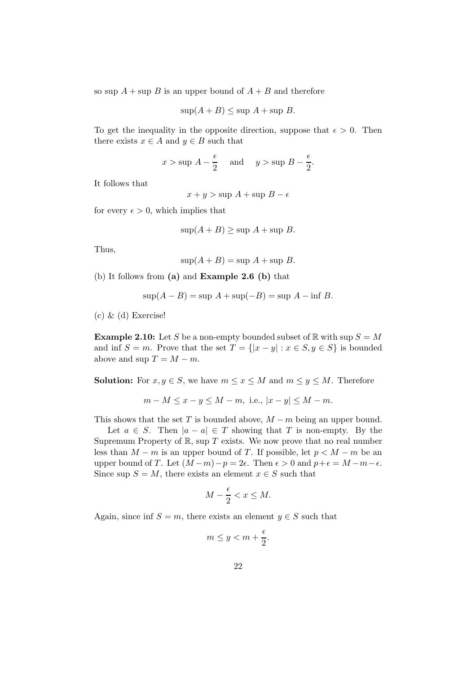so sup  $A$  + sup B is an upper bound of  $A + B$  and therefore

$$
\sup(A+B) \le \sup A + \sup B.
$$

To get the inequality in the opposite direction, suppose that  $\epsilon > 0$ . Then there exists  $x \in A$  and  $y \in B$  such that

$$
x > \sup A - \frac{\epsilon}{2}
$$
 and  $y > \sup B - \frac{\epsilon}{2}$ .

It follows that

 $x + y > \sup A + \sup B - \epsilon$ 

for every  $\epsilon > 0$ , which implies that

$$
\sup(A+B) \ge \sup A + \sup B.
$$

Thus,

$$
\sup(A + B) = \sup A + \sup B.
$$

(b) It follows from (a) and Example 2.6 (b) that

$$
\sup(A - B) = \sup A + \sup(-B) = \sup A - \inf B.
$$

(c) & (d) Exercise!

**Example 2.10:** Let S be a non-empty bounded subset of R with sup  $S = M$ and inf  $S = m$ . Prove that the set  $T = \{ |x - y| : x \in S, y \in S \}$  is bounded above and sup  $T = M - m$ .

**Solution:** For  $x, y \in S$ , we have  $m \leq x \leq M$  and  $m \leq y \leq M$ . Therefore

$$
m-M \le x-y \le M-m
$$
, i.e.,  $|x-y| \le M-m$ .

This shows that the set T is bounded above,  $M - m$  being an upper bound.

Let  $a \in S$ . Then  $|a - a| \in T$  showing that T is non-empty. By the Supremum Property of  $\mathbb R$ , sup T exists. We now prove that no real number less than  $M - m$  is an upper bound of T. If possible, let  $p < M - m$  be an upper bound of T. Let  $(M-m)-p=2\epsilon$ . Then  $\epsilon > 0$  and  $p+\epsilon = M-m-\epsilon$ . Since sup  $S = M$ , there exists an element  $x \in S$  such that

$$
M - \frac{\epsilon}{2} < x \le M.
$$

Again, since inf  $S = m$ , there exists an element  $y \in S$  such that

$$
m \le y < m + \frac{\epsilon}{2}.
$$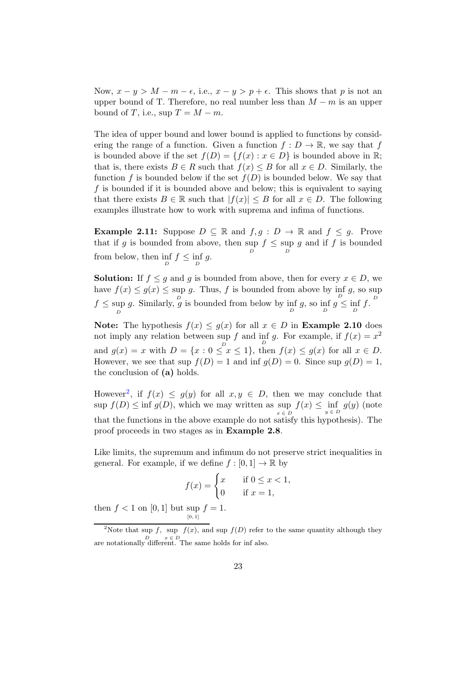Now,  $x - y > M - m - \epsilon$ , i.e.,  $x - y > p + \epsilon$ . This shows that p is not an upper bound of T. Therefore, no real number less than  $M - m$  is an upper bound of T, i.e., sup  $T = M - m$ .

The idea of upper bound and lower bound is applied to functions by considering the range of a function. Given a function  $f: D \to \mathbb{R}$ , we say that f is bounded above if the set  $f(D) = \{f(x) : x \in D\}$  is bounded above in R; that is, there exists  $B \in R$  such that  $f(x) \leq B$  for all  $x \in D$ . Similarly, the function f is bounded below if the set  $f(D)$  is bounded below. We say that f is bounded if it is bounded above and below; this is equivalent to saying that there exists  $B \in \mathbb{R}$  such that  $|f(x)| \leq B$  for all  $x \in D$ . The following examples illustrate how to work with suprema and infima of functions.

**Example 2.11:** Suppose  $D \subseteq \mathbb{R}$  and  $f, q : D \to \mathbb{R}$  and  $f \leq q$ . Prove that if g is bounded from above, then  $\sup_{D} f \leq \sup_{D} g$  and if f is bounded from below, then  $\inf_D f \leq \inf_D g$ .

**Solution:** If  $f \leq g$  and g is bounded from above, then for every  $x \in D$ , we have  $f(x) \le g(x) \le \sup g$ . Thus, f is bounded from above by  $\inf g$ , so sup  $f \leq \sup_D g$ . Similarly,  $\frac{D}{g}$  is bounded from below by  $\inf_D g$ , so  $\inf_D g \leq \inf_D f$ .

Note: The hypothesis  $f(x) \le g(x)$  for all  $x \in D$  in **Example 2.10** does not imply any relation between sup f and inf g. For example, if  $f(x) = x^2$ and  $g(x) = x$  with  $D = \{x : 0 \leq x \leq 1\}$ , then  $f(x) \leq g(x)$  for all  $x \in D$ . However, we see that sup  $f(D) = 1$  and inf  $g(D) = 0$ . Since sup  $g(D) = 1$ , the conclusion of (a) holds.

However<sup>[2](#page-22-0)</sup>, if  $f(x) \leq g(y)$  for all  $x, y \in D$ , then we may conclude that  $\sup f(D) \leq \inf g(D)$ , which we may written as  $\sup_{x \in D} f(x) \leq \inf_{y \in D} g(y)$  (note  $x \in D$ that the functions in the above example do not satisfy this hypothesis). The proof proceeds in two stages as in Example 2.8.

Like limits, the supremum and infimum do not preserve strict inequalities in general. For example, if we define  $f : [0,1] \to \mathbb{R}$  by

$$
f(x) = \begin{cases} x & \text{if } 0 \le x < 1, \\ 0 & \text{if } x = 1, \end{cases}
$$

then  $f < 1$  on [0, 1] but sup  $f = 1$ .  $[0, 1]$ 

<span id="page-22-0"></span><sup>&</sup>lt;sup>2</sup>Note that sup f, sup  $f(x)$ , and sup  $f(D)$  refer to the same quantity although they are notationally different. The same holds for inf also.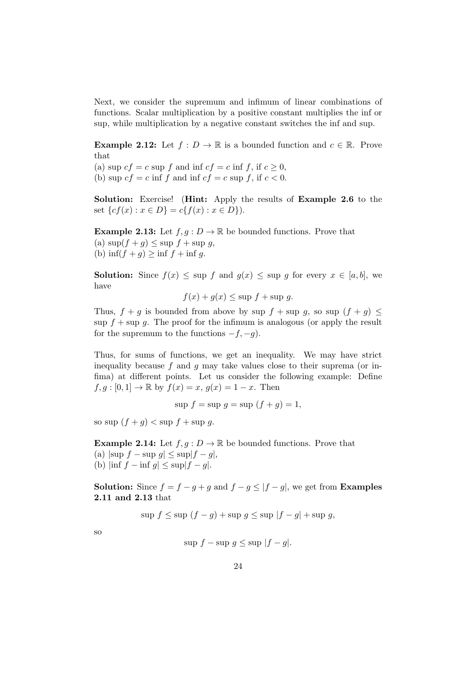Next, we consider the supremum and infimum of linear combinations of functions. Scalar multiplication by a positive constant multiplies the inf or sup, while multiplication by a negative constant switches the inf and sup.

**Example 2.12:** Let  $f: D \to \mathbb{R}$  is a bounded function and  $c \in \mathbb{R}$ . Prove that

(a) sup  $cf = c$  sup f and inf  $cf = c$  inf f, if  $c \geq 0$ , (b) sup  $cf = c$  inf f and inf  $cf = c$  sup f, if  $c < 0$ .

Solution: Exercise! (Hint: Apply the results of Example 2.6 to the set  $\{cf(x) : x \in D\} = c\{f(x) : x \in D\}$ .

**Example 2.13:** Let  $f, q : D \to \mathbb{R}$  be bounded functions. Prove that (a)  $\sup(f+g) \leq \sup f + \sup g$ , (b)  $\inf(f+g) \geq \inf f + \inf g$ .

**Solution:** Since  $f(x) \leq \sup f$  and  $g(x) \leq \sup g$  for every  $x \in [a, b]$ , we have

$$
f(x) + g(x) \le \sup f + \sup g.
$$

Thus,  $f + g$  is bounded from above by sup  $f + \sup g$ , so sup  $(f + g) \leq$ sup  $f + \sup g$ . The proof for the infimum is analogous (or apply the result for the supremum to the functions  $-f, -g$ ).

Thus, for sums of functions, we get an inequality. We may have strict inequality because f and q may take values close to their suprema (or infima) at different points. Let us consider the following example: Define  $f, g : [0, 1] \to \mathbb{R}$  by  $f(x) = x, g(x) = 1 - x$ . Then

 $\sup f = \sup g = \sup (f + g) = 1,$ 

so sup  $(f + q) <$  sup  $f +$  sup  $q$ .

**Example 2.14:** Let  $f, g: D \to \mathbb{R}$  be bounded functions. Prove that (a)  $|\sup f - \sup g| \leq \sup |f - g|$ , (b)  $|\inf f - \inf g| \leq \sup |f - g|$ .

**Solution:** Since  $f = f - g + g$  and  $f - g \leq |f - g|$ , we get from **Examples** 2.11 and 2.13 that

sup  $f \leq$  sup  $(f - g) +$  sup  $g \leq$  sup  $|f - g| +$  sup g,

so

$$
\sup f - \sup g \le \sup |f - g|.
$$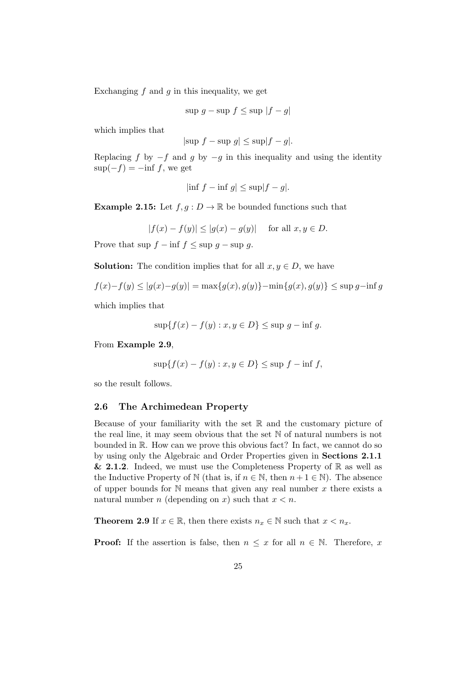Exchanging  $f$  and  $g$  in this inequality, we get

$$
\sup g - \sup f \le \sup |f - g|
$$

which implies that

$$
|\text{sup } f - \text{sup } g| \le \text{sup}|f - g|.
$$

Replacing f by  $-f$  and g by  $-g$  in this inequality and using the identity  $\sup(-f) = -\inf f$ , we get

$$
|\inf f - \inf g| \le \sup |f - g|.
$$

**Example 2.15:** Let  $f, g: D \to \mathbb{R}$  be bounded functions such that

 $|f(x) - f(y)| \le |g(x) - g(y)|$  for all  $x, y \in D$ .

Prove that sup  $f - \inf f \leq \sup g - \sup g$ .

**Solution:** The condition implies that for all  $x, y \in D$ , we have

$$
f(x) - f(y) \le |g(x) - g(y)| = \max\{g(x), g(y)\} - \min\{g(x), g(y)\} \le \sup g - \inf g
$$

which implies that

$$
\sup\{f(x) - f(y) : x, y \in D\} \le \sup g - \inf g.
$$

From Example 2.9,

$$
\sup\{f(x) - f(y) : x, y \in D\} \le \sup f - \inf f,
$$

<span id="page-24-0"></span>so the result follows.

#### 2.6 The Archimedean Property

Because of your familiarity with the set  $\mathbb R$  and the customary picture of the real line, it may seem obvious that the set N of natural numbers is not bounded in R. How can we prove this obvious fact? In fact, we cannot do so by using only the Algebraic and Order Properties given in Sections 2.1.1 & 2.1.2. Indeed, we must use the Completeness Property of  $\mathbb R$  as well as the Inductive Property of N (that is, if  $n \in \mathbb{N}$ , then  $n + 1 \in \mathbb{N}$ ). The absence of upper bounds for  $\mathbb N$  means that given any real number x there exists a natural number n (depending on x) such that  $x < n$ .

**Theorem 2.9** If  $x \in \mathbb{R}$ , then there exists  $n_x \in \mathbb{N}$  such that  $x < n_x$ .

**Proof:** If the assertion is false, then  $n \leq x$  for all  $n \in \mathbb{N}$ . Therefore, x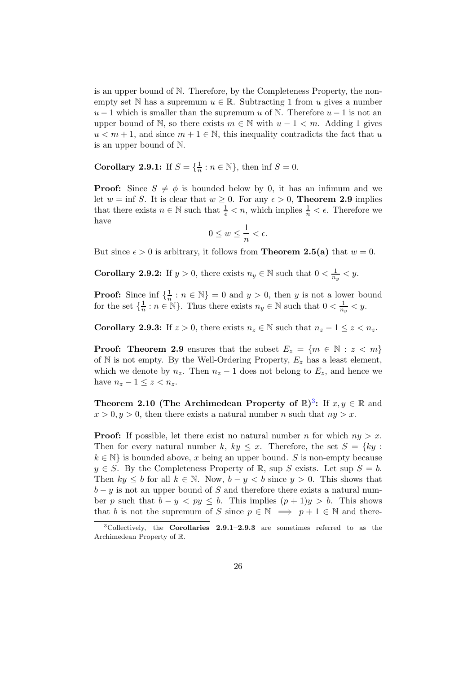is an upper bound of N. Therefore, by the Completeness Property, the nonempty set N has a supremum  $u \in \mathbb{R}$ . Subtracting 1 from u gives a number  $u-1$  which is smaller than the supremum u of N. Therefore  $u-1$  is not an upper bound of N, so there exists  $m \in \mathbb{N}$  with  $u - 1 < m$ . Adding 1 gives  $u < m + 1$ , and since  $m + 1 \in \mathbb{N}$ , this inequality contradicts the fact that u is an upper bound of N.

**Corollary 2.9.1:** If  $S = \{\frac{1}{n} : n \in \mathbb{N}\}$ , then inf  $S = 0$ .

**Proof:** Since  $S \neq \emptyset$  is bounded below by 0, it has an infimum and we let  $w = \inf S$ . It is clear that  $w \geq 0$ . For any  $\epsilon > 0$ . **Theorem 2.9** implies that there exists  $n \in \mathbb{N}$  such that  $\frac{1}{\epsilon} < n$ , which implies  $\frac{1}{n} < \epsilon$ . Therefore we have

$$
0 \le w \le \frac{1}{n} < \epsilon.
$$

But since  $\epsilon > 0$  is arbitrary, it follows from **Theorem 2.5(a)** that  $w = 0$ .

**Corollary 2.9.2:** If  $y > 0$ , there exists  $n_y \in \mathbb{N}$  such that  $0 < \frac{1}{n_y} < y$ .

**Proof:** Since inf  $\{\frac{1}{n} : n \in \mathbb{N}\} = 0$  and  $y > 0$ , then y is not a lower bound for the set  $\{\frac{1}{n}: n \in \mathbb{N}\}$ . Thus there exists  $n_y \in \mathbb{N}$  such that  $0 < \frac{1}{n_y} < y$ .

Corollary 2.9.3: If  $z > 0$ , there exists  $n_z \in \mathbb{N}$  such that  $n_z - 1 \leq z < n_z$ .

**Proof:** Theorem 2.9 ensures that the subset  $E_z = \{m \in \mathbb{N} : z < m\}$ of  $\mathbb N$  is not empty. By the Well-Ordering Property,  $E_z$  has a least element, which we denote by  $n_z$ . Then  $n_z - 1$  does not belong to  $E_z$ , and hence we have  $n_z - 1 \leq z < n_z$ .

Theorem 2.10 (The Archimedean Property of  $\mathbb{R}$ )<sup>[3](#page-25-0)</sup>: If  $x, y \in \mathbb{R}$  and  $x > 0, y > 0$ , then there exists a natural number n such that  $ny > x$ .

**Proof:** If possible, let there exist no natural number n for which  $ny > x$ . Then for every natural number k,  $ky \leq x$ . Therefore, the set  $S = \{ky :$  $k \in \mathbb{N}$  is bounded above, x being an upper bound. S is non-empty because  $y \in S$ . By the Completeness Property of R, sup S exists. Let sup  $S = b$ . Then  $ky \leq b$  for all  $k \in \mathbb{N}$ . Now,  $b - y \leq b$  since  $y > 0$ . This shows that  $b - y$  is not an upper bound of S and therefore there exists a natural number p such that  $b - y < py \le b$ . This implies  $(p + 1)y > b$ . This shows that b is not the supremum of S since  $p \in \mathbb{N} \implies p + 1 \in \mathbb{N}$  and there-

<span id="page-25-0"></span><sup>&</sup>lt;sup>3</sup>Collectively, the **Corollaries** 2.9.1-2.9.3 are sometimes referred to as the Archimedean Property of R.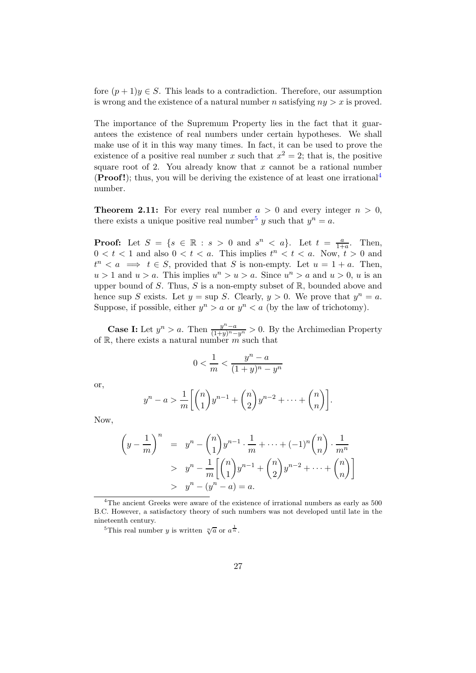fore  $(p+1)y \in S$ . This leads to a contradiction. Therefore, our assumption is wrong and the existence of a natural number n satisfying  $ny > x$  is proved.

The importance of the Supremum Property lies in the fact that it guarantees the existence of real numbers under certain hypotheses. We shall make use of it in this way many times. In fact, it can be used to prove the existence of a positive real number x such that  $x^2 = 2$ ; that is, the positive square root of 2. You already know that  $x$  cannot be a rational number **(Proof!)**; thus, you will be deriving the existence of at least one irrational<sup>[4](#page-26-0)</sup> number.

**Theorem 2.11:** For every real number  $a > 0$  and every integer  $n > 0$ , there exists a unique positive real number<sup>[5](#page-26-1)</sup> y such that  $y^n = a$ .

**Proof:** Let  $S = \{s \in \mathbb{R} : s > 0 \text{ and } s^n < a\}$ . Let  $t = \frac{a}{1+a}$ . Then,  $0 < t < 1$  and also  $0 < t < a$ . This implies  $t^n < t < a$ . Now,  $t > 0$  and  $t^n < a \implies t \in S$ , provided that S is non-empty. Let  $u = 1 + a$ . Then,  $u > 1$  and  $u > a$ . This implies  $u^n > u > a$ . Since  $u^n > a$  and  $u > 0$ , u is an upper bound of S. Thus, S is a non-empty subset of  $\mathbb{R}$ , bounded above and hence sup S exists. Let  $y = \sup S$ . Clearly,  $y > 0$ . We prove that  $y^n = a$ . Suppose, if possible, either  $y^n > a$  or  $y^n < a$  (by the law of trichotomy).

**Case I:** Let  $y^n > a$ . Then  $\frac{y^n - a}{(1+y)^n - y^n} > 0$ . By the Archimedian Property of R, there exists a natural number  $m$  such that

$$
0<\frac{1}{m}<\frac{y^n-a}{(1+y)^n-y^n}
$$

or,

$$
y^{n} - a > \frac{1}{m} \left[ \binom{n}{1} y^{n-1} + \binom{n}{2} y^{n-2} + \dots + \binom{n}{n} \right].
$$

Now,

$$
\left(y - \frac{1}{m}\right)^n = y^n - {n \choose 1} y^{n-1} \cdot \frac{1}{m} + \dots + (-1)^n {n \choose n} \cdot \frac{1}{m^n}
$$
  
>  $y^n - \frac{1}{m} \left[ {n \choose 1} y^{n-1} + {n \choose 2} y^{n-2} + \dots + {n \choose n} \right]$   
>  $y^n - (y^n - a) = a$ .

<span id="page-26-0"></span><sup>&</sup>lt;sup>4</sup>The ancient Greeks were aware of the existence of irrational numbers as early as  $500$ B.C. However, a satisfactory theory of such numbers was not developed until late in the nineteenth century.

<span id="page-26-1"></span><sup>&</sup>lt;sup>5</sup>This real number y is written  $\sqrt[n]{a}$  or  $a^{\frac{1}{n}}$ .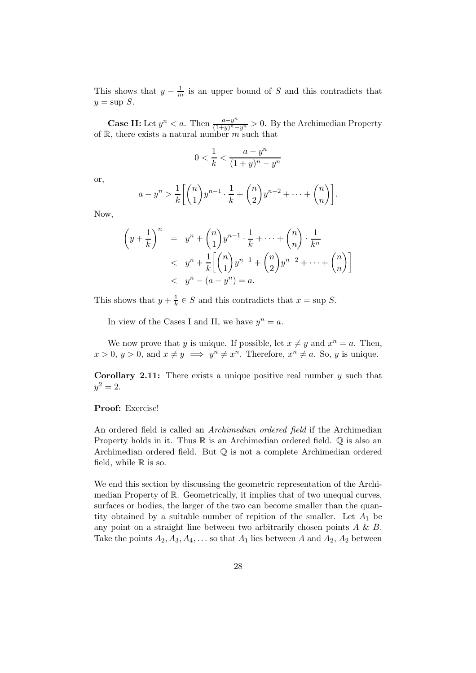This shows that  $y - \frac{1}{m}$  is an upper bound of S and this contradicts that  $y = \sup S$ .

**Case II:** Let  $y^n < a$ . Then  $\frac{a-y^n}{(1+y)^n-y^n} > 0$ . By the Archimedian Property of  $\mathbb{R}$ , there exists a natural number m such that

$$
0<\frac{1}{k}<\frac{a-y^n}{(1+y)^n-y^n}
$$

or,

$$
a-y^n > \frac{1}{k} \left[ \binom{n}{1} y^{n-1} \cdot \frac{1}{k} + \binom{n}{2} y^{n-2} + \dots + \binom{n}{n} \right].
$$

Now,

$$
\left(y + \frac{1}{k}\right)^n = y^n + {n \choose 1} y^{n-1} \cdot \frac{1}{k} + \dots + {n \choose n} \cdot \frac{1}{k^n}
$$
  

$$
< y^n + \frac{1}{k} \left[{n \choose 1} y^{n-1} + {n \choose 2} y^{n-2} + \dots + {n \choose n} \right]
$$
  

$$
< y^n - (a - y^n) = a.
$$

This shows that  $y + \frac{1}{k} \in S$  and this contradicts that  $x = \sup S$ .

In view of the Cases I and II, we have  $y^n = a$ .

We now prove that y is unique. If possible, let  $x \neq y$  and  $x^n = a$ . Then,  $x > 0$ ,  $y > 0$ , and  $x \neq y \implies y^n \neq x^n$ . Therefore,  $x^n \neq a$ . So, y is unique.

**Corollary 2.11:** There exists a unique positive real number  $y$  such that  $y^2 = 2.$ 

#### Proof: Exercise!

An ordered field is called an Archimedian ordered field if the Archimedian Property holds in it. Thus  $\mathbb R$  is an Archimedian ordered field.  $\mathbb Q$  is also an Archimedian ordered field. But Q is not a complete Archimedian ordered field, while  $\mathbb R$  is so.

We end this section by discussing the geometric representation of the Archimedian Property of R. Geometrically, it implies that of two unequal curves, surfaces or bodies, the larger of the two can become smaller than the quantity obtained by a suitable number of repition of the smaller. Let  $A_1$  be any point on a straight line between two arbitrarily chosen points  $A \& B$ . Take the points  $A_2, A_3, A_4, \ldots$  so that  $A_1$  lies between A and  $A_2, A_2$  between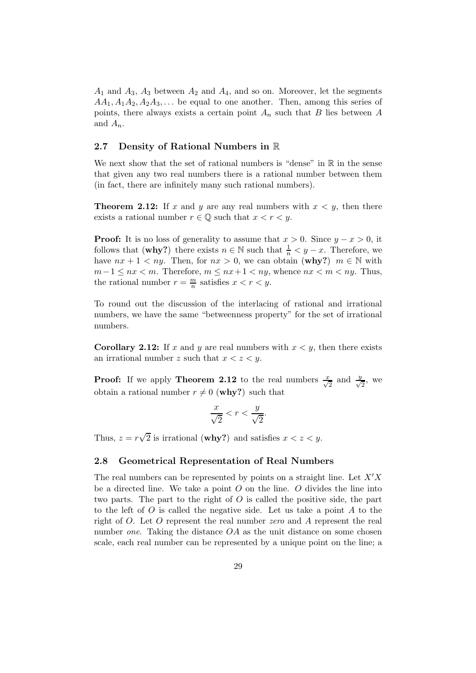$A_1$  and  $A_3$ ,  $A_3$  between  $A_2$  and  $A_4$ , and so on. Moreover, let the segments  $AA_1, A_1A_2, A_2A_3, \ldots$  be equal to one another. Then, among this series of points, there always exists a certain point  $A_n$  such that B lies between A and  $A_n$ .

#### <span id="page-28-0"></span>2.7 Density of Rational Numbers in R

We next show that the set of rational numbers is "dense" in  $\mathbb R$  in the sense that given any two real numbers there is a rational number between them (in fact, there are infinitely many such rational numbers).

**Theorem 2.12:** If x and y are any real numbers with  $x \leq y$ , then there exists a rational number  $r \in \mathbb{Q}$  such that  $x < r < y$ .

**Proof:** It is no loss of generality to assume that  $x > 0$ . Since  $y - x > 0$ , it follows that (why?) there exists  $n \in \mathbb{N}$  such that  $\frac{1}{n} < y - x$ . Therefore, we have  $nx + 1 < ny$ . Then, for  $nx > 0$ , we can obtain (why?)  $m \in \mathbb{N}$  with  $m-1 \le nx < m$ . Therefore,  $m \le nx+1 < ny$ , whence  $nx < m < ny$ . Thus, the rational number  $r = \frac{m}{n}$  satisfies  $x < r < y$ .

To round out the discussion of the interlacing of rational and irrational numbers, we have the same "betweenness property" for the set of irrational numbers.

**Corollary 2.12:** If x and y are real numbers with  $x < y$ , then there exists an irrational number z such that  $x < z < y$ .

**Proof:** If we apply **Theorem 2.12** to the real numbers  $\frac{x}{\sqrt{2}}$  and  $\frac{y}{\sqrt{2}}$  $\frac{1}{2}$ , we obtain a rational number  $r \neq 0$  (why?) such that

$$
\frac{x}{\sqrt{2}} < r < \frac{y}{\sqrt{2}}.
$$

Thus,  $z = r\sqrt{2}$  is irrational (**why?**) and satisfies  $x < z < y$ .

#### <span id="page-28-1"></span>2.8 Geometrical Representation of Real Numbers

The real numbers can be represented by points on a straight line. Let  $X'X$ be a directed line. We take a point  $O$  on the line.  $O$  divides the line into two parts. The part to the right of  $O$  is called the positive side, the part to the left of  $O$  is called the negative side. Let us take a point  $A$  to the right of O. Let O represent the real number zero and A represent the real number one. Taking the distance  $OA$  as the unit distance on some chosen scale, each real number can be represented by a unique point on the line; a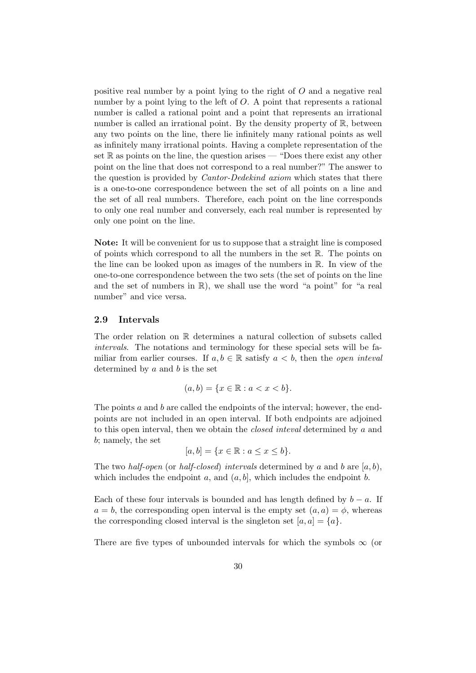positive real number by a point lying to the right of O and a negative real number by a point lying to the left of O. A point that represents a rational number is called a rational point and a point that represents an irrational number is called an irrational point. By the density property of  $\mathbb{R}$ , between any two points on the line, there lie infinitely many rational points as well as infinitely many irrational points. Having a complete representation of the set  $\mathbb R$  as points on the line, the question arises — "Does there exist any other point on the line that does not correspond to a real number?" The answer to the question is provided by *Cantor-Dedekind axiom* which states that there is a one-to-one correspondence between the set of all points on a line and the set of all real numbers. Therefore, each point on the line corresponds to only one real number and conversely, each real number is represented by only one point on the line.

Note: It will be convenient for us to suppose that a straight line is composed of points which correspond to all the numbers in the set  $\mathbb{R}$ . The points on the line can be looked upon as images of the numbers in R. In view of the one-to-one correspondence between the two sets (the set of points on the line and the set of numbers in R), we shall use the word "a point" for "a real number" and vice versa.

#### <span id="page-29-0"></span>2.9 Intervals

The order relation on R determines a natural collection of subsets called intervals. The notations and terminology for these special sets will be familiar from earlier courses. If  $a, b \in \mathbb{R}$  satisfy  $a < b$ , then the *open inteval* determined by  $a$  and  $b$  is the set

$$
(a, b) = \{x \in \mathbb{R} : a < x < b\}.
$$

The points a and b are called the endpoints of the interval; however, the endpoints are not included in an open interval. If both endpoints are adjoined to this open interval, then we obtain the closed inteval determined by a and b; namely, the set

$$
[a,b] = \{x \in \mathbb{R} : a \le x \le b\}.
$$

The two half-open (or half-closed) intervals determined by a and b are  $[a, b)$ , which includes the endpoint a, and  $(a, b]$ , which includes the endpoint b.

Each of these four intervals is bounded and has length defined by  $b - a$ . If  $a = b$ , the corresponding open interval is the empty set  $(a, a) = \phi$ , whereas the corresponding closed interval is the singleton set  $[a, a] = \{a\}.$ 

There are five types of unbounded intervals for which the symbols  $\infty$  (or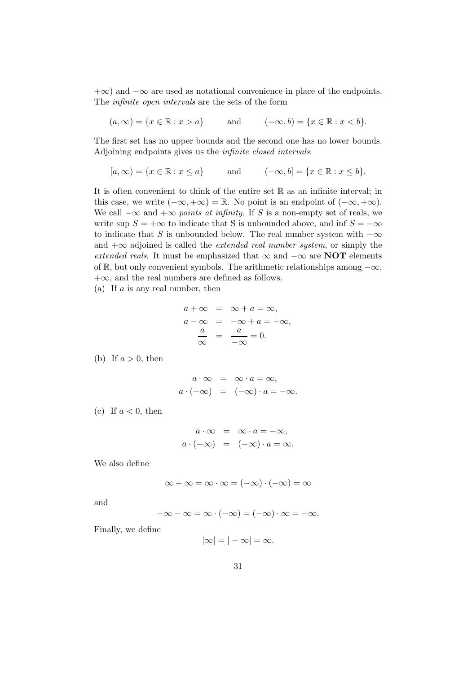$+\infty$ ) and  $-\infty$  are used as notational convenience in place of the endpoints. The infinite open intervals are the sets of the form

 $(a, \infty) = \{x \in \mathbb{R} : x > a\}$  and  $(-\infty, b) = \{x \in \mathbb{R} : x < b\}.$ 

The first set has no upper bounds and the second one has no lower bounds. Adjoining endpoints gives us the infinite closed intervals:

$$
[a, \infty) = \{x \in \mathbb{R} : x \le a\}
$$
 and 
$$
(-\infty, b] = \{x \in \mathbb{R} : x \le b\}.
$$

It is often convenient to think of the entire set R as an infinite interval; in this case, we write  $(-\infty, +\infty) = \mathbb{R}$ . No point is an endpoint of  $(-\infty, +\infty)$ . We call  $-\infty$  and  $+\infty$  points at infinity. If S is a non-empty set of reals, we write sup  $S = +\infty$  to indicate that S is unbounded above, and inf  $S = -\infty$ to indicate that S is unbounded below. The real number system with  $-\infty$ and  $+\infty$  adjoined is called the *extended real number system*, or simply the extended reals. It must be emphasized that  $\infty$  and  $-\infty$  are NOT elements of R, but only convenient symbols. The arithmetic relationships among  $-\infty$ ,  $+\infty$ , and the real numbers are defined as follows.

(a) If  $a$  is any real number, then

$$
a + \infty = \infty + a = \infty,
$$
  
\n
$$
a - \infty = -\infty + a = -\infty,
$$
  
\n
$$
\frac{a}{\infty} = \frac{a}{-\infty} = 0.
$$

(b) If  $a > 0$ , then

$$
a \cdot \infty = \infty \cdot a = \infty,
$$
  
 $a \cdot (-\infty) = (-\infty) \cdot a = -\infty.$ 

(c) If  $a < 0$ , then

$$
a \cdot \infty = \infty \cdot a = -\infty,
$$
  
 $a \cdot (-\infty) = (-\infty) \cdot a = \infty.$ 

We also define

$$
\infty + \infty = \infty \cdot \infty = (-\infty) \cdot (-\infty) = \infty
$$

and

$$
-\infty - \infty = \infty \cdot (-\infty) = (-\infty) \cdot \infty = -\infty.
$$

Finally, we define

$$
|\infty|=|-|\infty|=\infty.
$$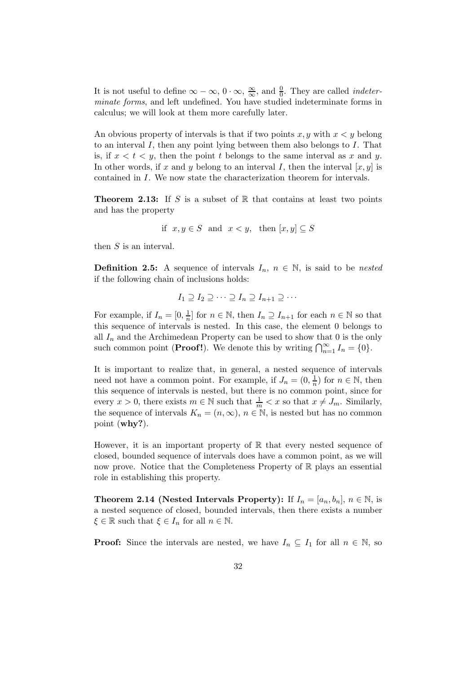It is not useful to define  $\infty - \infty$ ,  $0 \cdot \infty$ ,  $\frac{\infty}{\infty}$ , and  $\frac{0}{0}$ . They are called *indeter*minate forms, and left undefined. You have studied indeterminate forms in calculus; we will look at them more carefully later.

An obvious property of intervals is that if two points  $x, y$  with  $x < y$  belong to an interval I, then any point lying between them also belongs to I. That is, if  $x < t < y$ , then the point t belongs to the same interval as x and y. In other words, if x and y belong to an interval I, then the interval  $[x, y]$  is contained in I. We now state the characterization theorem for intervals.

**Theorem 2.13:** If S is a subset of R that contains at least two points and has the property

if 
$$
x, y \in S
$$
 and  $x < y$ , then  $[x, y] \subseteq S$ 

then S is an interval.

**Definition 2.5:** A sequence of intervals  $I_n$ ,  $n \in \mathbb{N}$ , is said to be nested if the following chain of inclusions holds:

$$
I_1 \supseteq I_2 \supseteq \cdots \supseteq I_n \supseteq I_{n+1} \supseteq \cdots
$$

For example, if  $I_n = [0, \frac{1}{n}]$  for  $n \in \mathbb{N}$ , then  $I_n \supseteq I_{n+1}$  for each  $n \in \mathbb{N}$  so that this sequence of intervals is nested. In this case, the element 0 belongs to all  $I_n$  and the Archimedean Property can be used to show that 0 is the only such common point (**Proof!**). We denote this by writing  $\bigcap_{n=1}^{\infty} I_n = \{0\}.$ 

It is important to realize that, in general, a nested sequence of intervals need not have a common point. For example, if  $J_n = (0, \frac{1}{n})$  for  $n \in \mathbb{N}$ , then this sequence of intervals is nested, but there is no common point, since for every  $x > 0$ , there exists  $m \in \mathbb{N}$  such that  $\frac{1}{m} < x$  so that  $x \neq J_m$ . Similarly, the sequence of intervals  $K_n = (n, \infty), n \in \mathbb{N}$ , is nested but has no common point (why?).

However, it is an important property of  $\mathbb R$  that every nested sequence of closed, bounded sequence of intervals does have a common point, as we will now prove. Notice that the Completeness Property of  $\mathbb R$  plays an essential role in establishing this property.

**Theorem 2.14 (Nested Intervals Property):** If  $I_n = [a_n, b_n]$ ,  $n \in \mathbb{N}$ , is a nested sequence of closed, bounded intervals, then there exists a number  $\xi \in \mathbb{R}$  such that  $\xi \in I_n$  for all  $n \in \mathbb{N}$ .

**Proof:** Since the intervals are nested, we have  $I_n \subseteq I_1$  for all  $n \in \mathbb{N}$ , so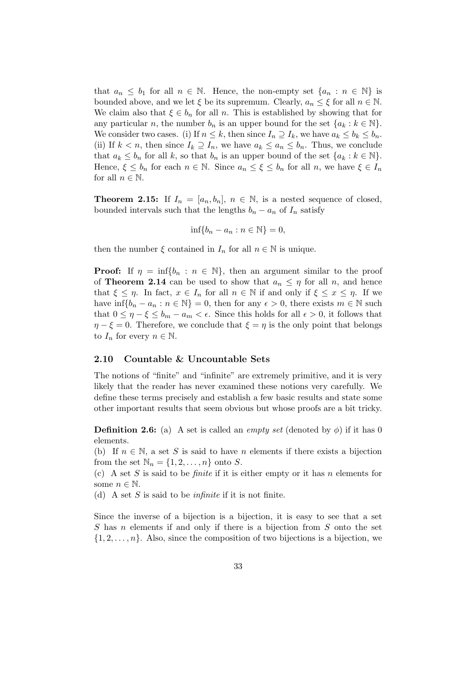that  $a_n \leq b_1$  for all  $n \in \mathbb{N}$ . Hence, the non-empty set  $\{a_n : n \in \mathbb{N}\}\$ is bounded above, and we let  $\xi$  be its supremum. Clearly,  $a_n \leq \xi$  for all  $n \in \mathbb{N}$ . We claim also that  $\xi \in b_n$  for all n. This is established by showing that for any particular n, the number  $b_n$  is an upper bound for the set  $\{a_k : k \in \mathbb{N}\}.$ We consider two cases. (i) If  $n \leq k$ , then since  $I_n \supseteq I_k$ , we have  $a_k \leq b_k \leq b_n$ . (ii) If  $k < n$ , then since  $I_k \supseteq I_n$ , we have  $a_k \leq a_n \leq b_n$ . Thus, we conclude that  $a_k \leq b_n$  for all k, so that  $b_n$  is an upper bound of the set  $\{a_k : k \in \mathbb{N}\}.$ Hence,  $\xi \leq b_n$  for each  $n \in \mathbb{N}$ . Since  $a_n \leq \xi \leq b_n$  for all n, we have  $\xi \in I_n$ for all  $n \in \mathbb{N}$ .

**Theorem 2.15:** If  $I_n = [a_n, b_n]$ ,  $n \in \mathbb{N}$ , is a nested sequence of closed, bounded intervals such that the lengths  $b_n - a_n$  of  $I_n$  satisfy

$$
\inf\{b_n - a_n : n \in \mathbb{N}\} = 0,
$$

then the number  $\xi$  contained in  $I_n$  for all  $n \in \mathbb{N}$  is unique.

**Proof:** If  $\eta = \inf\{b_n : n \in \mathbb{N}\}\$ , then an argument similar to the proof of **Theorem 2.14** can be used to show that  $a_n \leq \eta$  for all n, and hence that  $\xi \leq \eta$ . In fact,  $x \in I_n$  for all  $n \in \mathbb{N}$  if and only if  $\xi \leq x \leq \eta$ . If we have  $\inf\{b_n - a_n : n \in \mathbb{N}\} = 0$ , then for any  $\epsilon > 0$ , there exists  $m \in \mathbb{N}$  such that  $0 \leq \eta - \xi \leq b_m - a_m < \epsilon$ . Since this holds for all  $\epsilon > 0$ , it follows that  $\eta - \xi = 0$ . Therefore, we conclude that  $\xi = \eta$  is the only point that belongs to  $I_n$  for every  $n \in \mathbb{N}$ .

#### <span id="page-32-0"></span>2.10 Countable & Uncountable Sets

The notions of "finite" and "infinite" are extremely primitive, and it is very likely that the reader has never examined these notions very carefully. We define these terms precisely and establish a few basic results and state some other important results that seem obvious but whose proofs are a bit tricky.

**Definition 2.6:** (a) A set is called an *empty set* (denoted by  $\phi$ ) if it has 0 elements.

(b) If  $n \in \mathbb{N}$ , a set S is said to have n elements if there exists a bijection from the set  $\mathbb{N}_n = \{1, 2, \ldots, n\}$  onto S.

(c) A set S is said to be *finite* if it is either empty or it has n elements for some  $n \in \mathbb{N}$ .

(d) A set S is said to be *infinite* if it is not finite.

Since the inverse of a bijection is a bijection, it is easy to see that a set S has n elements if and only if there is a bijection from S onto the set  $\{1, 2, \ldots, n\}$ . Also, since the composition of two bijections is a bijection, we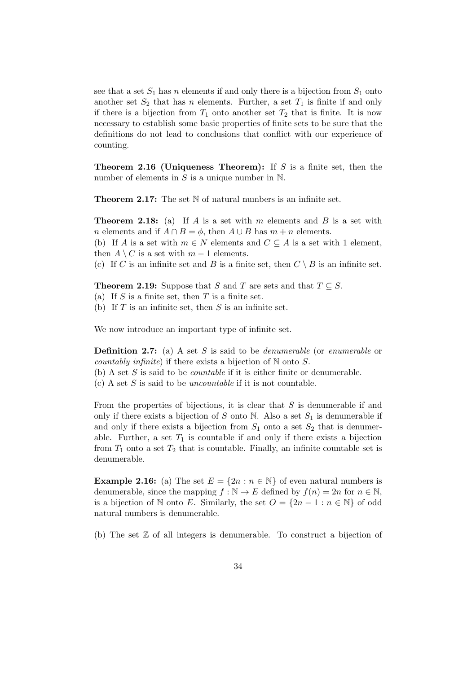see that a set  $S_1$  has n elements if and only there is a bijection from  $S_1$  onto another set  $S_2$  that has n elements. Further, a set  $T_1$  is finite if and only if there is a bijection from  $T_1$  onto another set  $T_2$  that is finite. It is now necessary to establish some basic properties of finite sets to be sure that the definitions do not lead to conclusions that conflict with our experience of counting.

**Theorem 2.16 (Uniqueness Theorem):** If S is a finite set, then the number of elements in  $S$  is a unique number in  $\mathbb N$ .

**Theorem 2.17:** The set N of natural numbers is an infinite set.

**Theorem 2.18:** (a) If A is a set with m elements and B is a set with n elements and if  $A \cap B = \phi$ , then  $A \cup B$  has  $m + n$  elements.

(b) If A is a set with  $m \in N$  elements and  $C \subseteq A$  is a set with 1 element, then  $A \setminus C$  is a set with  $m-1$  elements.

(c) If C is an infinite set and B is a finite set, then  $C \setminus B$  is an infinite set.

**Theorem 2.19:** Suppose that S and T are sets and that  $T \subseteq S$ .

(a) If  $S$  is a finite set, then  $T$  is a finite set.

(b) If  $T$  is an infinite set, then  $S$  is an infinite set.

We now introduce an important type of infinite set.

**Definition 2.7:** (a) A set S is said to be *denumerable* (or *enumerable* or *countably infinite*) if there exists a bijection of  $\mathbb N$  onto  $S$ .

(b) A set S is said to be *countable* if it is either finite or denumerable.

 $(c)$  A set S is said to be *uncountable* if it is not countable.

From the properties of bijections, it is clear that  $S$  is denumerable if and only if there exists a bijection of S onto N. Also a set  $S_1$  is denumerable if and only if there exists a bijection from  $S_1$  onto a set  $S_2$  that is denumerable. Further, a set  $T_1$  is countable if and only if there exists a bijection from  $T_1$  onto a set  $T_2$  that is countable. Finally, an infinite countable set is denumerable.

**Example 2.16:** (a) The set  $E = \{2n : n \in \mathbb{N}\}\$  of even natural numbers is denumerable, since the mapping  $f : \mathbb{N} \to E$  defined by  $f(n) = 2n$  for  $n \in \mathbb{N}$ , is a bijection of N onto E. Similarly, the set  $O = \{2n - 1 : n \in \mathbb{N}\}\$ of odd natural numbers is denumerable.

(b) The set Z of all integers is denumerable. To construct a bijection of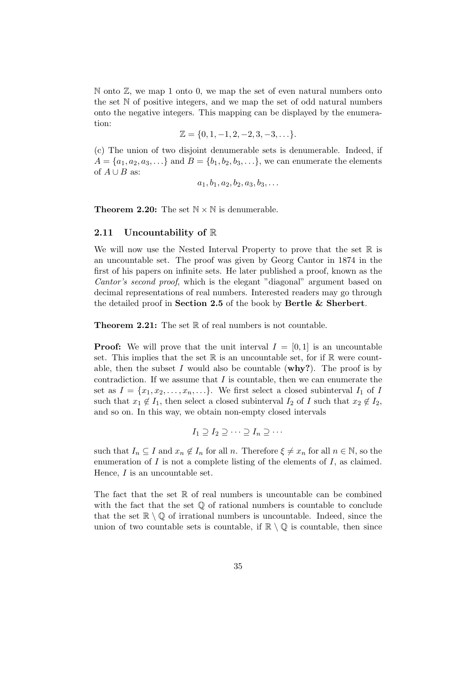$\mathbb N$  onto  $\mathbb Z$ , we map 1 onto 0, we map the set of even natural numbers onto the set N of positive integers, and we map the set of odd natural numbers onto the negative integers. This mapping can be displayed by the enumeration:

$$
\mathbb{Z} = \{0, 1, -1, 2, -2, 3, -3, \ldots\}.
$$

(c) The union of two disjoint denumerable sets is denumerable. Indeed, if  $A = \{a_1, a_2, a_3, ...\}$  and  $B = \{b_1, b_2, b_3, ...\}$ , we can enumerate the elements of  $A \cup B$  as:

$$
a_1, b_1, a_2, b_2, a_3, b_3, \ldots
$$

<span id="page-34-0"></span>**Theorem 2.20:** The set  $\mathbb{N} \times \mathbb{N}$  is denumerable.

#### 2.11 Uncountability of  $\mathbb R$

We will now use the Nested Interval Property to prove that the set  $\mathbb R$  is an uncountable set. The proof was given by Georg Cantor in 1874 in the first of his papers on infinite sets. He later published a proof, known as the Cantor's second proof, which is the elegant "diagonal" argument based on decimal representations of real numbers. Interested readers may go through the detailed proof in Section 2.5 of the book by Bertle & Sherbert.

**Theorem 2.21:** The set  $\mathbb R$  of real numbers is not countable.

**Proof:** We will prove that the unit interval  $I = [0, 1]$  is an uncountable set. This implies that the set  $\mathbb R$  is an uncountable set, for if  $\mathbb R$  were countable, then the subset I would also be countable ( $why$ ?). The proof is by contradiction. If we assume that  $I$  is countable, then we can enumerate the set as  $I = \{x_1, x_2, \ldots, x_n, \ldots\}$ . We first select a closed subinterval  $I_1$  of I such that  $x_1 \notin I_1$ , then select a closed subinterval  $I_2$  of I such that  $x_2 \notin I_2$ , and so on. In this way, we obtain non-empty closed intervals

$$
I_1 \supseteq I_2 \supseteq \cdots \supseteq I_n \supseteq \cdots
$$

such that  $I_n \subseteq I$  and  $x_n \notin I_n$  for all n. Therefore  $\xi \neq x_n$  for all  $n \in \mathbb{N}$ , so the enumeration of  $I$  is not a complete listing of the elements of  $I$ , as claimed. Hence, I is an uncountable set.

The fact that the set  $\mathbb R$  of real numbers is uncountable can be combined with the fact that the set  $\mathbb Q$  of rational numbers is countable to conclude that the set  $\mathbb{R} \setminus \mathbb{Q}$  of irrational numbers is uncountable. Indeed, since the union of two countable sets is countable, if  $\mathbb{R} \setminus \mathbb{Q}$  is countable, then since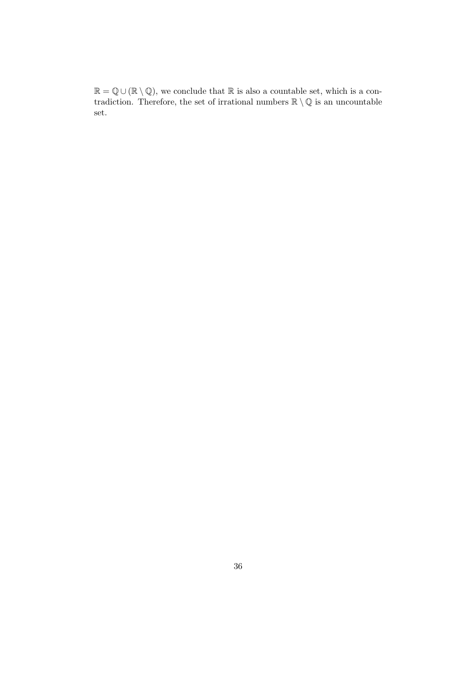$\mathbb{R} = \mathbb{Q} \cup (\mathbb{R} \setminus \mathbb{Q})$ , we conclude that  $\mathbb{R}$  is also a countable set, which is a contradiction. Therefore, the set of irrational numbers  $\mathbb{R} \setminus \mathbb{Q}$  is an uncountable set.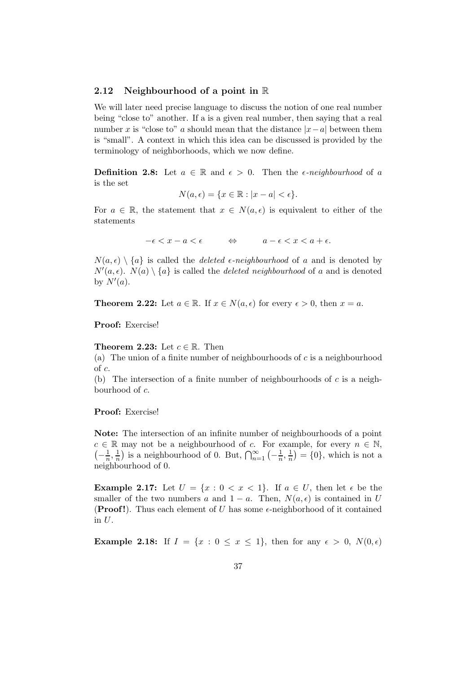#### <span id="page-36-0"></span>2.12 Neighbourhood of a point in R

We will later need precise language to discuss the notion of one real number being "close to" another. If a is a given real number, then saying that a real number x is "close to" a should mean that the distance  $|x-a|$  between them is "small". A context in which this idea can be discussed is provided by the terminology of neighborhoods, which we now define.

**Definition 2.8:** Let  $a \in \mathbb{R}$  and  $\epsilon > 0$ . Then the *e-neighbourhood* of a is the set

$$
N(a,\epsilon) = \{x \in \mathbb{R} : |x - a| < \epsilon\}.
$$

For  $a \in \mathbb{R}$ , the statement that  $x \in N(a, \epsilon)$  is equivalent to either of the statements

$$
-\epsilon < x - a < \epsilon \qquad \Leftrightarrow \qquad a - \epsilon < x < a + \epsilon.
$$

 $N(a, \epsilon) \setminus \{a\}$  is called the *deleted*  $\epsilon$ -neighbourhood of a and is denoted by  $N'(a, \epsilon)$ .  $N(a) \setminus \{a\}$  is called the *deleted neighbourhood* of a and is denoted by  $N'(a)$ .

**Theorem 2.22:** Let  $a \in \mathbb{R}$ . If  $x \in N(a, \epsilon)$  for every  $\epsilon > 0$ , then  $x = a$ .

Proof: Exercise!

**Theorem 2.23:** Let  $c \in \mathbb{R}$ . Then

(a) The union of a finite number of neighbourhoods of  $c$  is a neighbourhood of c.

(b) The intersection of a finite number of neighbourhoods of  $c$  is a neighbourhood of c.

#### Proof: Exercise!

Note: The intersection of an infinite number of neighbourhoods of a point  $c \in \mathbb{R}$  may not be a neighbourhood of c. For example, for every  $n \in \mathbb{N}$ ,  $\left(-\frac{1}{n},\frac{1}{n}\right)$  is a neighbourhood of 0. But,  $\bigcap_{n=1}^{\infty}\left(-\frac{1}{n},\frac{1}{n}\right)=\{0\}$ , which is not a neighbourhood of 0.

Example 2.17: Let  $U = \{x : 0 < x < 1\}$ . If  $a \in U$ , then let  $\epsilon$  be the smaller of the two numbers a and  $1 - a$ . Then,  $N(a, \epsilon)$  is contained in U **(Proof!).** Thus each element of U has some  $\epsilon$ -neighborhood of it contained in  $U$ .

Example 2.18: If  $I = \{x : 0 \le x \le 1\}$ , then for any  $\epsilon > 0$ ,  $N(0, \epsilon)$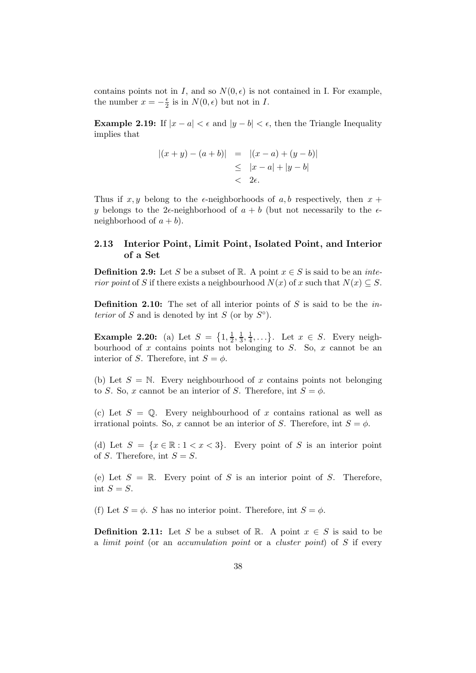contains points not in I, and so  $N(0, \epsilon)$  is not contained in I. For example, the number  $x = -\frac{\epsilon}{2}$  $\frac{\epsilon}{2}$  is in  $N(0,\epsilon)$  but not in I.

Example 2.19: If  $|x - a| < \epsilon$  and  $|y - b| < \epsilon$ , then the Triangle Inequality implies that

$$
|(x + y) - (a + b)| = |(x - a) + (y - b)|
$$
  
\n
$$
\leq |x - a| + |y - b|
$$
  
\n
$$
< 2\epsilon.
$$

Thus if  $x, y$  belong to the  $\epsilon$ -neighborhoods of a, b respectively, then  $x +$ y belongs to the 2 $\epsilon$ -neighborhood of  $a + b$  (but not necessarily to the  $\epsilon$ neighborhood of  $a + b$ ).

#### <span id="page-37-0"></span>2.13 Interior Point, Limit Point, Isolated Point, and Interior of a Set

**Definition 2.9:** Let S be a subset of R. A point  $x \in S$  is said to be an *inte*rior point of S if there exists a neighbourhood  $N(x)$  of x such that  $N(x) \subseteq S$ .

**Definition 2.10:** The set of all interior points of S is said to be the in*terior* of S and is denoted by int S (or by  $S^{\circ}$ ).

**Example 2.20:** (a) Let  $S = \{1, \frac{1}{2}\}$  $\frac{1}{2}, \frac{1}{3}$  $\frac{1}{3}, \frac{1}{4}$  $\frac{1}{4}, \ldots$ . Let  $x \in S$ . Every neighbourhood of x contains points not belonging to  $S$ . So, x cannot be an interior of S. Therefore, int  $S = \phi$ .

(b) Let  $S = N$ . Every neighbourhood of x contains points not belonging to S. So, x cannot be an interior of S. Therefore, int  $S = \phi$ .

(c) Let  $S = \mathbb{Q}$ . Every neighbourhood of x contains rational as well as irrational points. So, x cannot be an interior of S. Therefore, int  $S = \phi$ .

(d) Let  $S = \{x \in \mathbb{R} : 1 < x < 3\}$ . Every point of S is an interior point of S. Therefore, int  $S = S$ .

(e) Let  $S = \mathbb{R}$ . Every point of S is an interior point of S. Therefore, int  $S = S$ .

(f) Let  $S = \phi$ . S has no interior point. Therefore, int  $S = \phi$ .

**Definition 2.11:** Let S be a subset of R. A point  $x \in S$  is said to be a limit point (or an accumulation point or a cluster point) of S if every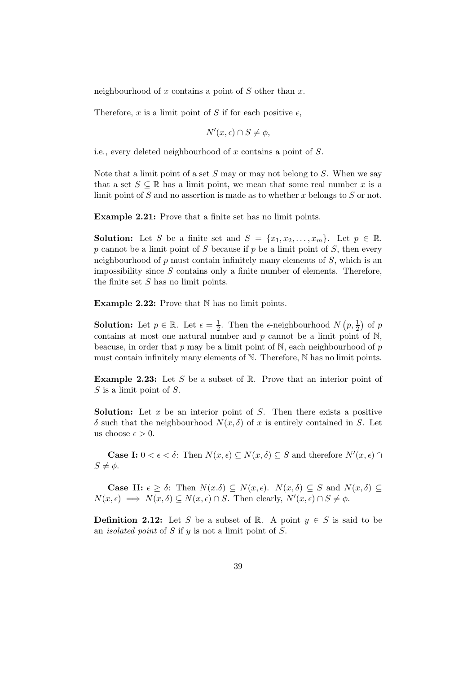neighbourhood of x contains a point of  $S$  other than  $x$ .

Therefore, x is a limit point of S if for each positive  $\epsilon$ ,

$$
N'(x,\epsilon)\cap S\neq \phi,
$$

i.e., every deleted neighbourhood of  $x$  contains a point of  $S$ .

Note that a limit point of a set  $S$  may or may not belong to  $S$ . When we say that a set  $S \subseteq \mathbb{R}$  has a limit point, we mean that some real number x is a limit point of S and no assertion is made as to whether x belongs to S or not.

Example 2.21: Prove that a finite set has no limit points.

**Solution:** Let S be a finite set and  $S = \{x_1, x_2, \ldots, x_m\}$ . Let  $p \in \mathbb{R}$ .  $p$  cannot be a limit point of  $S$  because if  $p$  be a limit point of  $S$ , then every neighbourhood of  $p$  must contain infinitely many elements of  $S$ , which is an impossibility since  $S$  contains only a finite number of elements. Therefore, the finite set S has no limit points.

**Example 2.22:** Prove that  $N$  has no limit points.

**Solution:** Let  $p \in \mathbb{R}$ . Let  $\epsilon = \frac{1}{2}$ . Then the  $\epsilon$ -neighbourhood  $N(p, \frac{1}{2})$  of  $p$ contains at most one natural number and  $p$  cannot be a limit point of  $N$ , beacuse, in order that p may be a limit point of  $N$ , each neighbourhood of p must contain infinitely many elements of N. Therefore, N has no limit points.

**Example 2.23:** Let S be a subset of  $\mathbb{R}$ . Prove that an interior point of  $S$  is a limit point of  $S$ .

**Solution:** Let  $x$  be an interior point of  $S$ . Then there exists a positive  $\delta$  such that the neighbourhood  $N(x, \delta)$  of x is entirely contained in S. Let us choose  $\epsilon > 0$ .

**Case I:**  $0 < \epsilon < \delta$ : Then  $N(x, \epsilon) \subseteq N(x, \delta) \subseteq S$  and therefore  $N'(x, \epsilon) \cap$  $S \neq \phi$ .

**Case II:**  $\epsilon > \delta$ : Then  $N(x,\delta) \subseteq N(x,\epsilon)$ .  $N(x,\delta) \subseteq S$  and  $N(x,\delta) \subseteq S$  $N(x,\epsilon) \implies N(x,\delta) \subseteq N(x,\epsilon) \cap S$ . Then clearly,  $N'(x,\epsilon) \cap S \neq \phi$ .

**Definition 2.12:** Let S be a subset of R. A point  $y \in S$  is said to be an *isolated point* of S if  $y$  is not a limit point of S.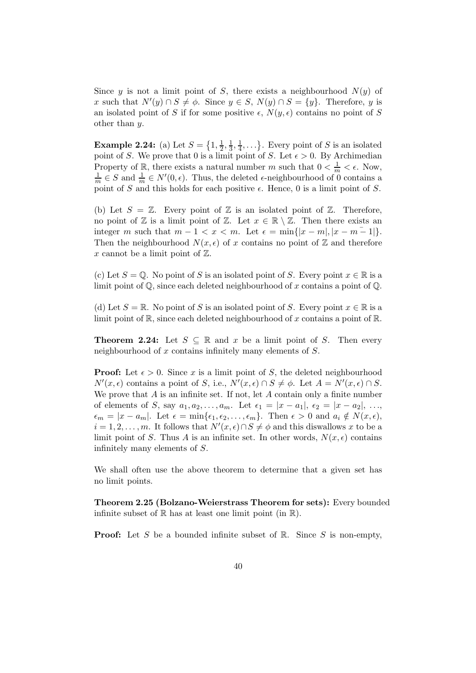Since y is not a limit point of S, there exists a neighbourhood  $N(y)$  of x such that  $N'(y) \cap S \neq \emptyset$ . Since  $y \in S$ ,  $N(y) \cap S = \{y\}$ . Therefore, y is an isolated point of S if for some positive  $\epsilon$ ,  $N(y, \epsilon)$  contains no point of S other than y.

**Example 2.24:** (a) Let  $S = \{1, \frac{1}{2}\}$  $\frac{1}{2}, \frac{1}{3}$  $\frac{1}{3}, \frac{1}{4}$  $\frac{1}{4}, \ldots$ . Every point of S is an isolated point of S. We prove that 0 is a limit point of S. Let  $\epsilon > 0$ . By Archimedian Property of  $\mathbb{R}$ , there exists a natural number m such that  $0 < \frac{1}{m} < \epsilon$ . Now,  $\frac{1}{m} \in S$  and  $\frac{1}{m} \in N'(0, \epsilon)$ . Thus, the deleted  $\epsilon$ -neighbourhood of 0 contains a point of S and this holds for each positive  $\epsilon$ . Hence, 0 is a limit point of S.

(b) Let  $S = \mathbb{Z}$ . Every point of  $\mathbb{Z}$  is an isolated point of  $\mathbb{Z}$ . Therefore, no point of  $\mathbb Z$  is a limit point of  $\mathbb Z$ . Let  $x \in \mathbb R \setminus \mathbb Z$ . Then there exists an integer m such that  $m-1 < x < m$ . Let  $\epsilon = \min\{|x-m|, |x-m-1|\}$ . Then the neighbourhood  $N(x, \epsilon)$  of x contains no point of Z and therefore x cannot be a limit point of  $\mathbb{Z}$ .

(c) Let  $S = \mathbb{Q}$ . No point of S is an isolated point of S. Every point  $x \in \mathbb{R}$  is a limit point of  $\mathbb{Q}$ , since each deleted neighbourhood of x contains a point of  $\mathbb{Q}$ .

(d) Let  $S = \mathbb{R}$ . No point of S is an isolated point of S. Every point  $x \in \mathbb{R}$  is a limit point of  $\mathbb{R}$ , since each deleted neighbourhood of x contains a point of  $\mathbb{R}$ .

**Theorem 2.24:** Let  $S \subseteq \mathbb{R}$  and x be a limit point of S. Then every neighbourhood of x contains infinitely many elements of S.

**Proof:** Let  $\epsilon > 0$ . Since x is a limit point of S, the deleted neighbourhood  $N'(x,\epsilon)$  contains a point of S, i.e.,  $N'(x,\epsilon) \cap S \neq \emptyset$ . Let  $A = N'(x,\epsilon) \cap S$ . We prove that  $A$  is an infinite set. If not, let  $A$  contain only a finite number of elements of S, say  $a_1, a_2, ..., a_m$ . Let  $\epsilon_1 = |x - a_1|, \epsilon_2 = |x - a_2|, ...,$  $\epsilon_m = |x - a_m|$ . Let  $\epsilon = \min{\epsilon_1, \epsilon_2, \ldots, \epsilon_m}$ . Then  $\epsilon > 0$  and  $a_i \notin N(x, \epsilon)$ ,  $i = 1, 2, \dots, m$ . It follows that  $N'(x, \epsilon) \cap S \neq \emptyset$  and this diswallows x to be a limit point of S. Thus A is an infinite set. In other words,  $N(x, \epsilon)$  contains infinitely many elements of S.

We shall often use the above theorem to determine that a given set has no limit points.

Theorem 2.25 (Bolzano-Weierstrass Theorem for sets): Every bounded infinite subset of  $\mathbb R$  has at least one limit point (in  $\mathbb R$ ).

**Proof:** Let S be a bounded infinite subset of R. Since S is non-empty,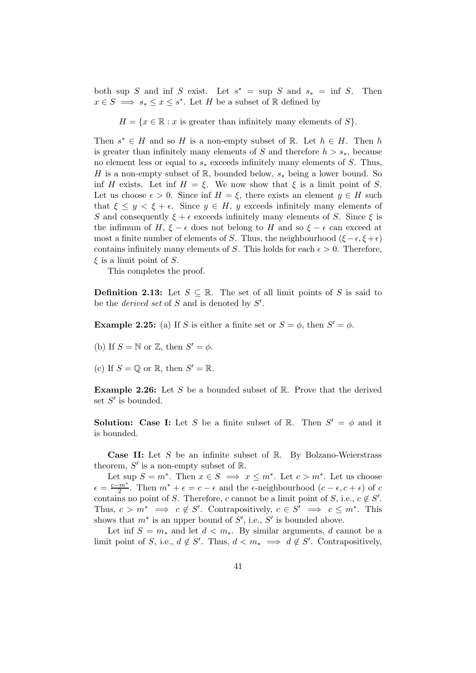both sup S and inf S exist. Let  $s^* = \sup S$  and  $s_* = \inf S$ . Then  $x \in S \implies s_* \leq x \leq s^*$ . Let H be a subset of R defined by

 $H = \{x \in \mathbb{R} : x \text{ is greater than infinitely many elements of } S\}.$ 

Then  $s^* \in H$  and so H is a non-empty subset of R. Let  $h \in H$ . Then h is greater than infinitely many elements of S and therefore  $h > s_*$ , because no element less or equal to  $s_*$  exceeds infinitely many elements of S. Thus, H is a non-empty subset of R, bounded below,  $s_*$  being a lower bound. So inf H exists. Let inf  $H = \xi$ . We now show that  $\xi$  is a limit point of S. Let us choose  $\epsilon > 0$ . Since inf  $H = \xi$ , there exists an element  $y \in H$  such that  $\xi \leq y \leq \xi + \epsilon$ . Since  $y \in H$ , y exceeds infinitely many elements of S and consequently  $\xi + \epsilon$  exceeds infinitely many elements of S. Since  $\xi$  is the infimum of H,  $\xi - \epsilon$  does not belong to H and so  $\xi - \epsilon$  can exceed at most a finite number of elements of S. Thus, the neighbourhood ( $\xi - \epsilon, \xi + \epsilon$ ) contains infinitely many elements of S. This holds for each  $\epsilon > 0$ . Therefore,  $\xi$  is a limit point of S.

This completes the proof.

**Definition 2.13:** Let  $S \subseteq \mathbb{R}$ . The set of all limit points of S is said to be the *derived set* of S and is denoted by  $S'$ .

**Example 2.25:** (a) If S is either a finite set or  $S = \phi$ , then  $S' = \phi$ .

(b) If  $S = \mathbb{N}$  or  $\mathbb{Z}$ , then  $S' = \phi$ .

(c) If  $S = \mathbb{Q}$  or  $\mathbb{R}$ , then  $S' = \mathbb{R}$ .

**Example 2.26:** Let S be a bounded subset of  $\mathbb{R}$ . Prove that the derived set  $S'$  is bounded.

**Solution:** Case I: Let S be a finite subset of R. Then  $S' = \phi$  and it is bounded.

**Case II:** Let S be an infinite subset of  $\mathbb{R}$ . By Bolzano-Weierstrass theorem,  $S'$  is a non-empty subset of  $\mathbb{R}$ .

Let sup  $S = m^*$ . Then  $x \in S \implies x \leq m^*$ . Let  $c > m^*$ . Let us choose  $\epsilon = \frac{c-m^*}{2}$ . Then  $m^* + \epsilon = c - \epsilon$  and the  $\epsilon$ -neighbourhood  $(c - \epsilon, c + \epsilon)$  of c contains no point of S. Therefore, c cannot be a limit point of S, i.e.,  $c \notin S'$ . Thus,  $c > m^* \implies c \notin S'$ . Contrapositively,  $c \in S' \implies c \leq m^*$ . This shows that  $m^*$  is an upper bound of  $S'$ , i.e.,  $S'$  is bounded above.

Let inf  $S = m_*$  and let  $d < m_*$ . By similar arguments, d cannot be a limit point of S, i.e.,  $d \notin S'$ . Thus,  $d < m_* \implies d \notin S'$ . Contrapositively,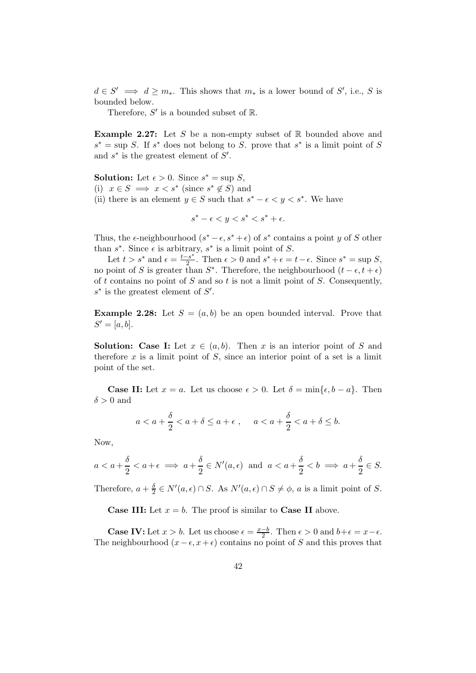$d \in S' \implies d \geq m_*$ . This shows that  $m_*$  is a lower bound of  $S'$ , i.e., S is bounded below.

Therefore,  $S'$  is a bounded subset of  $\mathbb{R}$ .

**Example 2.27:** Let S be a non-empty subset of  $\mathbb{R}$  bounded above and  $s^* = \sup S$ . If  $s^*$  does not belong to S. prove that  $s^*$  is a limit point of S and  $s^*$  is the greatest element of  $S'$ .

**Solution:** Let  $\epsilon > 0$ . Since  $s^* = \sup S$ , (i)  $x \in S \implies x < s^* \text{ (since } s^* \notin S \text{) and }$ (ii) there is an element  $y \in S$  such that  $s^* - \epsilon < y < s^*$ . We have

 $s^* - \epsilon < y < s^* < s^* + \epsilon.$ 

Thus, the  $\epsilon$ -neighbourhood  $(s^* - \epsilon, s^* + \epsilon)$  of  $s^*$  contains a point y of S other than  $s^*$ . Since  $\epsilon$  is arbitrary,  $s^*$  is a limit point of S.

Let  $t > s^*$  and  $\epsilon = \frac{t-s^*}{2}$  $\frac{2s^*}{2}$ . Then  $\epsilon > 0$  and  $s^* + \epsilon = t - \epsilon$ . Since  $s^* = \sup S$ , no point of S is greater than  $S^*$ . Therefore, the neighbourhood  $(t - \epsilon, t + \epsilon)$ of t contains no point of  $S$  and so  $t$  is not a limit point of  $S$ . Consequently,  $s^*$  is the greatest element of  $S'$ .

**Example 2.28:** Let  $S = (a, b)$  be an open bounded interval. Prove that  $S' = [a, b].$ 

**Solution:** Case I: Let  $x \in (a, b)$ . Then x is an interior point of S and therefore  $x$  is a limit point of  $S$ , since an interior point of a set is a limit point of the set.

**Case II:** Let  $x = a$ . Let us choose  $\epsilon > 0$ . Let  $\delta = \min{\{\epsilon, b - a\}}$ . Then  $\delta > 0$  and

$$
a < a + \frac{\delta}{2} < a + \delta \le a + \epsilon
$$
,  $a < a + \frac{\delta}{2} < a + \delta \le b$ .

Now,

$$
a < a + \frac{\delta}{2} < a + \epsilon \implies a + \frac{\delta}{2} \in N'(a, \epsilon) \text{ and } a < a + \frac{\delta}{2} < b \implies a + \frac{\delta}{2} \in S.
$$

Therefore,  $a + \frac{\delta}{2}$  $\frac{\delta}{2} \in N'(a, \epsilon) \cap S$ . As  $N'(a, \epsilon) \cap S \neq \phi$ , a is a limit point of S.

**Case III:** Let  $x = b$ . The proof is similar to **Case II** above.

**Case IV:** Let  $x > b$ . Let us choose  $\epsilon = \frac{x-b}{2}$ . Then  $\epsilon > 0$  and  $b+\epsilon = x-\epsilon$ . The neighbourhood  $(x - \epsilon, x + \epsilon)$  contains no point of S and this proves that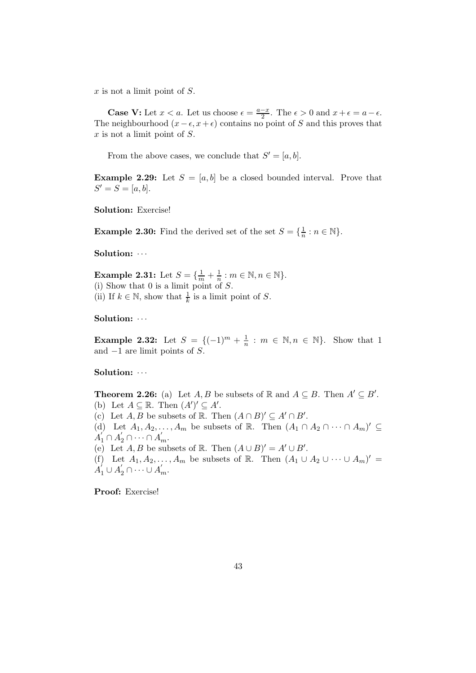$x$  is not a limit point of  $S$ .

**Case V:** Let  $x < a$ . Let us choose  $\epsilon = \frac{a-x}{2}$ . The  $\epsilon > 0$  and  $x + \epsilon = a - \epsilon$ . The neighbourhood  $(x - \epsilon, x + \epsilon)$  contains no point of S and this proves that  $x$  is not a limit point of  $S$ .

From the above cases, we conclude that  $S' = [a, b]$ .

**Example 2.29:** Let  $S = [a, b]$  be a closed bounded interval. Prove that  $S' = S = [a, b].$ 

Solution: Exercise!

**Example 2.30:** Find the derived set of the set  $S = \{\frac{1}{n} : n \in \mathbb{N}\}.$ 

Solution:  $\cdots$ 

**Example 2.31:** Let  $S = \{\frac{1}{m} + \frac{1}{n} : m \in \mathbb{N}, n \in \mathbb{N}\}.$ (i) Show that  $0$  is a limit point of  $S$ . (ii) If  $k \in \mathbb{N}$ , show that  $\frac{1}{k}$  is a limit point of S.

Solution:  $\cdots$ 

**Example 2.32:** Let  $S = \{(-1)^m + \frac{1}{n} : m \in \mathbb{N}, n \in \mathbb{N}\}\$ . Show that 1 and  $-1$  are limit points of S.

Solution:  $\cdots$ 

**Theorem 2.26:** (a) Let  $A, B$  be subsets of  $\mathbb{R}$  and  $A \subseteq B$ . Then  $A' \subseteq B'$ . (b) Let  $A \subseteq \mathbb{R}$ . Then  $(A')' \subseteq A'$ . (c) Let  $A, B$  be subsets of  $\mathbb{R}$ . Then  $(A \cap B)' \subseteq A' \cap B'$ . (d) Let  $A_1, A_2, \ldots, A_m$  be subsets of R. Then  $(A_1 \cap A_2 \cap \cdots \cap A_m)' \subseteq$  $A'_1 \cap A'_2 \cap \cdots \cap A'_m.$ (e) Let  $A, B$  be subsets of R. Then  $(A \cup B)' = A' \cup B'$ . (f) Let  $A_1, A_2, \ldots, A_m$  be subsets of R. Then  $(A_1 \cup A_2 \cup \cdots \cup A_m)' =$  $A'_1 \cup A'_2 \cap \cdots \cup A'_m.$ 

Proof: Exercise!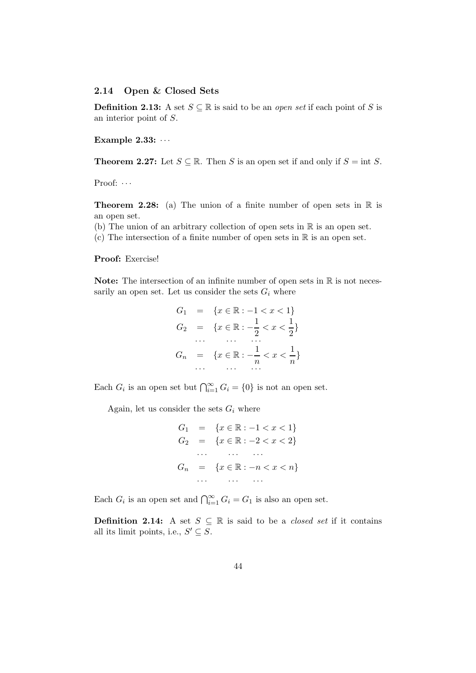#### <span id="page-43-0"></span>2.14 Open & Closed Sets

**Definition 2.13:** A set  $S \subseteq \mathbb{R}$  is said to be an *open set* if each point of S is an interior point of S.

Example  $2.33: \cdots$ 

**Theorem 2.27:** Let  $S \subseteq \mathbb{R}$ . Then S is an open set if and only if  $S = \text{int } S$ .

Proof:  $\cdots$ 

**Theorem 2.28:** (a) The union of a finite number of open sets in  $\mathbb R$  is an open set.

(b) The union of an arbitrary collection of open sets in  $\mathbb R$  is an open set.

(c) The intersection of a finite number of open sets in  $\mathbb R$  is an open set.

#### Proof: Exercise!

**Note:** The intersection of an infinite number of open sets in  $\mathbb{R}$  is not necessarily an open set. Let us consider the sets  $G_i$  where

$$
G_1 = \{x \in \mathbb{R} : -1 < x < 1\}
$$
\n
$$
G_2 = \{x \in \mathbb{R} : -\frac{1}{2} < x < \frac{1}{2}\}
$$
\n
$$
\cdots \qquad \cdots \qquad \cdots
$$
\n
$$
G_n = \{x \in \mathbb{R} : -\frac{1}{n} < x < \frac{1}{n}\}
$$
\n
$$
\cdots \qquad \cdots \qquad \cdots
$$

Each  $G_i$  is an open set but  $\bigcap_{i=1}^{\infty} G_i = \{0\}$  is not an open set.

Again, let us consider the sets  $G_i$  where

$$
G_1 = \{x \in \mathbb{R} : -1 < x < 1\}
$$
\n
$$
G_2 = \{x \in \mathbb{R} : -2 < x < 2\}
$$
\n
$$
\dots \dots \dots
$$
\n
$$
G_n = \{x \in \mathbb{R} : -n < x < n\}
$$
\n
$$
\dots \dots \dots
$$

Each  $G_i$  is an open set and  $\bigcap_{i=1}^{\infty} G_i = G_1$  is also an open set.

**Definition 2.14:** A set  $S \subseteq \mathbb{R}$  is said to be a *closed set* if it contains all its limit points, i.e.,  $S' \subseteq S$ .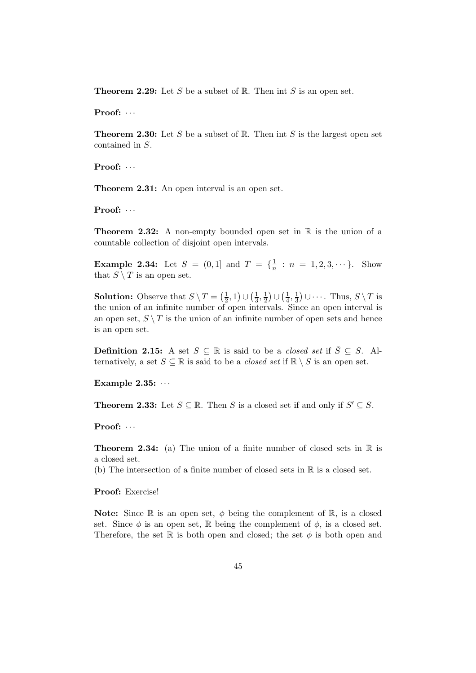**Theorem 2.29:** Let S be a subset of R. Then int S is an open set.

Proof:  $\cdots$ 

**Theorem 2.30:** Let S be a subset of R. Then int S is the largest open set contained in S.

Proof:  $\cdots$ 

Theorem 2.31: An open interval is an open set.

Proof:  $\cdots$ 

**Theorem 2.32:** A non-empty bounded open set in  $\mathbb R$  is the union of a countable collection of disjoint open intervals.

**Example 2.34:** Let  $S = (0,1]$  and  $T = \{\frac{1}{n} : n = 1, 2, 3, \cdots\}$ . Show that  $S \setminus T$  is an open set.

**Solution:** Observe that  $S \setminus T = \left(\frac{1}{2}\right)$  $(\frac{1}{2}, 1) \cup (\frac{1}{3})$  $\frac{1}{3}, \frac{1}{2}$  $\frac{1}{2})\cup(\frac{1}{4})$  $\frac{1}{4}, \frac{1}{3}$  $(\frac{1}{3}) \cup \cdots$ . Thus,  $S \setminus T$  is the union of an infinite number of open intervals. Since an open interval is an open set,  $S \setminus T$  is the union of an infinite number of open sets and hence is an open set.

**Definition 2.15:** A set  $S \subseteq \mathbb{R}$  is said to be a *closed set* if  $\overline{S} \subseteq S$ . Alternatively, a set  $S \subseteq \mathbb{R}$  is said to be a *closed set* if  $\mathbb{R} \setminus S$  is an open set.

Example  $2.35: \cdots$ 

**Theorem 2.33:** Let  $S \subseteq \mathbb{R}$ . Then S is a closed set if and only if  $S' \subseteq S$ .

Proof:  $\cdots$ 

**Theorem 2.34:** (a) The union of a finite number of closed sets in  $\mathbb{R}$  is a closed set.

(b) The intersection of a finite number of closed sets in R is a closed set.

Proof: Exercise!

**Note:** Since R is an open set,  $\phi$  being the complement of R, is a closed set. Since  $\phi$  is an open set, R being the complement of  $\phi$ , is a closed set. Therefore, the set R is both open and closed; the set  $\phi$  is both open and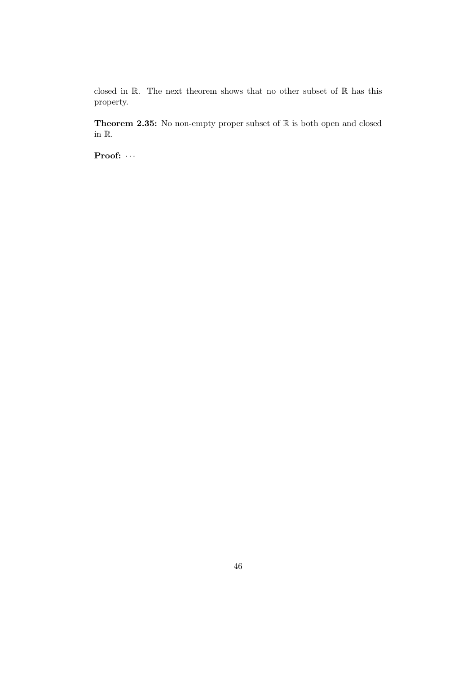closed in  $\mathbb R$ . The next theorem shows that no other subset of  $\mathbb R$  has this property.

**Theorem 2.35:** No non-empty proper subset of  $\mathbb{R}$  is both open and closed in R.

Proof:  $\cdots$